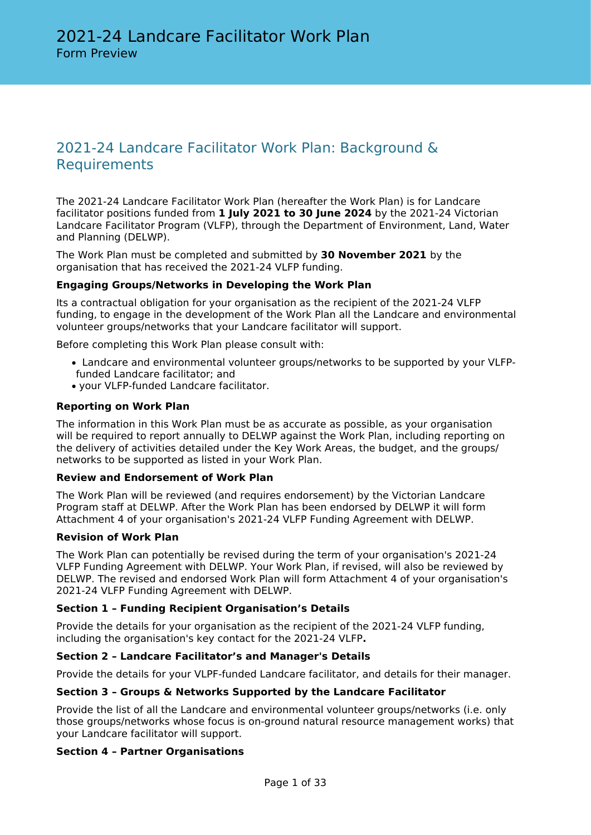# 2021-24 Landcare Facilitator Work Plan: Background & **Requirements**

The 2021-24 Landcare Facilitator Work Plan (hereafter the Work Plan) is for Landcare facilitator positions funded from **1 July 2021 to 30 June 2024** by the 2021-24 Victorian Landcare Facilitator Program (VLFP), through the Department of Environment, Land, Water and Planning (DELWP).

The Work Plan must be completed and submitted by **30 November 2021** by the organisation that has received the 2021-24 VLFP funding.

### **Engaging Groups/Networks in Developing the Work Plan**

Its a contractual obligation for your organisation as the recipient of the 2021-24 VLFP funding, to engage in the development of the Work Plan all the Landcare and environmental volunteer groups/networks that your Landcare facilitator will support.

Before completing this Work Plan please consult with:

- Landcare and environmental volunteer groups/networks to be supported by your VLFPfunded Landcare facilitator; and
- your VLFP-funded Landcare facilitator.

### **Reporting on Work Plan**

The information in this Work Plan must be as accurate as possible, as your organisation will be required to report annually to DELWP against the Work Plan, including reporting on the delivery of activities detailed under the Key Work Areas, the budget, and the groups/ networks to be supported as listed in your Work Plan.

### **Review and Endorsement of Work Plan**

The Work Plan will be reviewed (and requires endorsement) by the Victorian Landcare Program staff at DELWP. After the Work Plan has been endorsed by DELWP it will form Attachment 4 of your organisation's 2021-24 VLFP Funding Agreement with DELWP.

#### **Revision of Work Plan**

The Work Plan can potentially be revised during the term of your organisation's 2021-24 VLFP Funding Agreement with DELWP. Your Work Plan, if revised, will also be reviewed by DELWP. The revised and endorsed Work Plan will form Attachment 4 of your organisation's 2021-24 VLFP Funding Agreement with DELWP.

### **Section 1 – Funding Recipient Organisation's Details**

Provide the details for your organisation as the recipient of the 2021-24 VLFP funding, including the organisation's key contact for the 2021-24 VLFP**.**

### **Section 2 – Landcare Facilitator's and Manager's Details**

Provide the details for your VLPF-funded Landcare facilitator, and details for their manager.

### **Section 3 – Groups & Networks Supported by the Landcare Facilitator**

Provide the list of all the Landcare and environmental volunteer groups/networks (i.e. only those groups/networks whose focus is on-ground natural resource management works) that your Landcare facilitator will support.

### **Section 4 – Partner Organisations**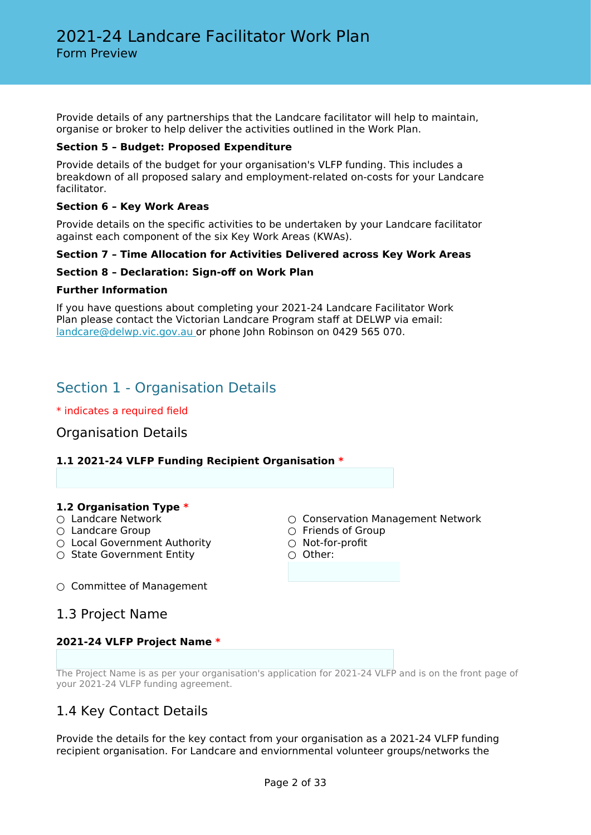Provide details of any partnerships that the Landcare facilitator will help to maintain, organise or broker to help deliver the activities outlined in the Work Plan.

### **Section 5 – Budget: Proposed Expenditure**

Provide details of the budget for your organisation's VLFP funding. This includes a breakdown of all proposed salary and employment-related on-costs for your Landcare facilitator.

### **Section 6 – Key Work Areas**

Provide details on the specific activities to be undertaken by your Landcare facilitator against each component of the six Key Work Areas (KWAs).

### **Section 7 – Time Allocation for Activities Delivered across Key Work Areas**

### **Section 8 – Declaration: Sign-off on Work Plan**

### **Further Information**

If you have questions about completing your 2021-24 Landcare Facilitator Work Plan please contact the Victorian Landcare Program staff at DELWP via email: [landcare@delwp.vic.gov.au o](mailto:landcare@delwp.vic.gov.au)r phone John Robinson on 0429 565 070.

# Section 1 - Organisation Details

\* indicates a required field

Organisation Details

### **1.1 2021-24 VLFP Funding Recipient Organisation \***

# **1.2 Organisation Type \***

- 
- 
- Local Government Authority △ Not-for-profit
- State Government Entity △ Other:
- Conservation Management Network
- Landcare Group **Community** Community Community Community Community Community Community Community Community Community Community Community Community Community Community Community Community Community Community Community
	-
	-
- $\circ$  Committee of Management
- 1.3 Project Name

### **2021-24 VLFP Project Name \***

The Project Name is as per your organisation's application for 2021-24 VLFP and is on the front page of your 2021-24 VLFP funding agreement.

### 1.4 Key Contact Details

Provide the details for the key contact from your organisation as a 2021-24 VLFP funding recipient organisation. For Landcare and enviornmental volunteer groups/networks the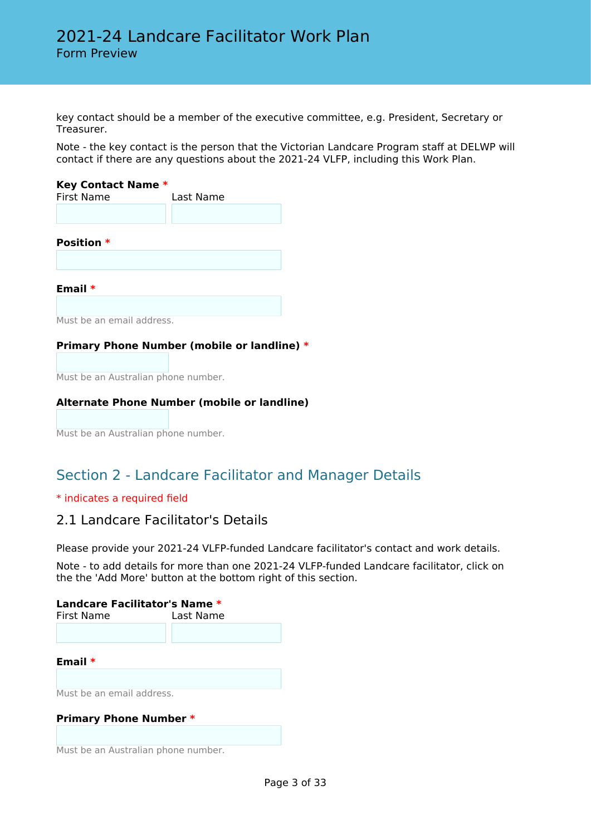key contact should be a member of the executive committee, e.g. President, Secretary or Treasurer.

Note - the key contact is the person that the Victorian Landcare Program staff at DELWP will contact if there are any questions about the 2021-24 VLFP, including this Work Plan.

#### **Key Contact Name \***

| <b>First Name</b>         | Last Name |
|---------------------------|-----------|
|                           |           |
| <b>Position *</b>         |           |
|                           |           |
| Email $*$                 |           |
| Must be an email address. |           |

### **Primary Phone Number (mobile or landline) \***

Must be an Australian phone number.

### **Alternate Phone Number (mobile or landline)**

Must be an Australian phone number.

# Section 2 - Landcare Facilitator and Manager Details

### \* indicates a required field

### 2.1 Landcare Facilitator's Details

Please provide your 2021-24 VLFP-funded Landcare facilitator's contact and work details.

Note - to add details for more than one 2021-24 VLFP-funded Landcare facilitator, click on the the 'Add More' button at the bottom right of this section.

# **Landcare Facilitator's Name \*** First Name Last Name **Email \*** Must be an email address. **Primary Phone Number \***

Must be an Australian phone number.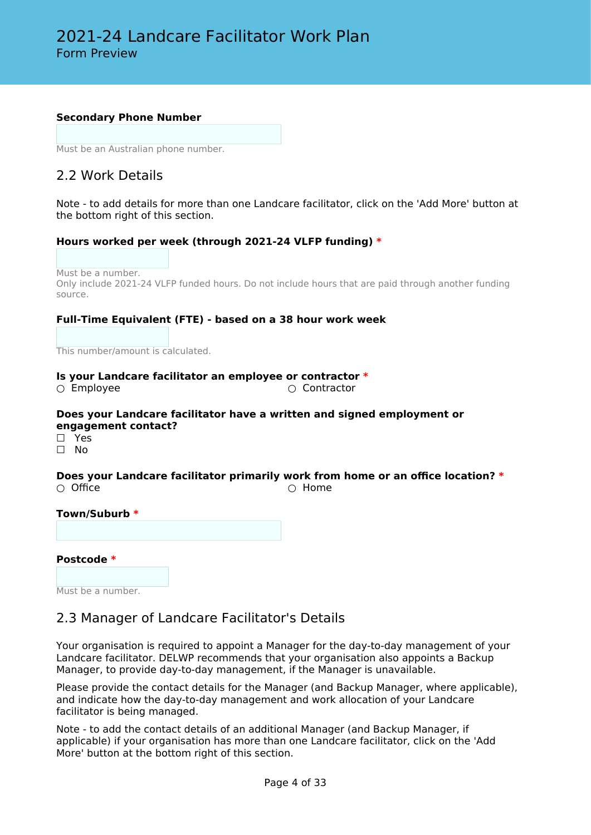### **Secondary Phone Number**

Must be an Australian phone number.

## 2.2 Work Details

Note - to add details for more than one Landcare facilitator, click on the 'Add More' button at the bottom right of this section.

### **Hours worked per week (through 2021-24 VLFP funding) \***

Must be a number. Only include 2021-24 VLFP funded hours. Do not include hours that are paid through another funding source.

### **Full-Time Equivalent (FTE) - based on a 38 hour work week**

This number/amount is calculated.

### **Is your Landcare facilitator an employee or contractor \***

○ Employee ○ Contractor

### **Does your Landcare facilitator have a written and signed employment or engagement contact?**

☐ Yes

☐ No

#### **Does your Landcare facilitator primarily work from home or an office location? \*** ○ Office △ ○ ○ Nome

### **Town/Suburb \***

### **Postcode \***

Must be a number.

### 2.3 Manager of Landcare Facilitator's Details

Your organisation is required to appoint a Manager for the day-to-day management of your Landcare facilitator. DELWP recommends that your organisation also appoints a Backup Manager, to provide day-to-day management, if the Manager is unavailable.

Please provide the contact details for the Manager (and Backup Manager, where applicable), and indicate how the day-to-day management and work allocation of your Landcare facilitator is being managed.

Note - to add the contact details of an additional Manager (and Backup Manager, if applicable) if your organisation has more than one Landcare facilitator, click on the 'Add More' button at the bottom right of this section.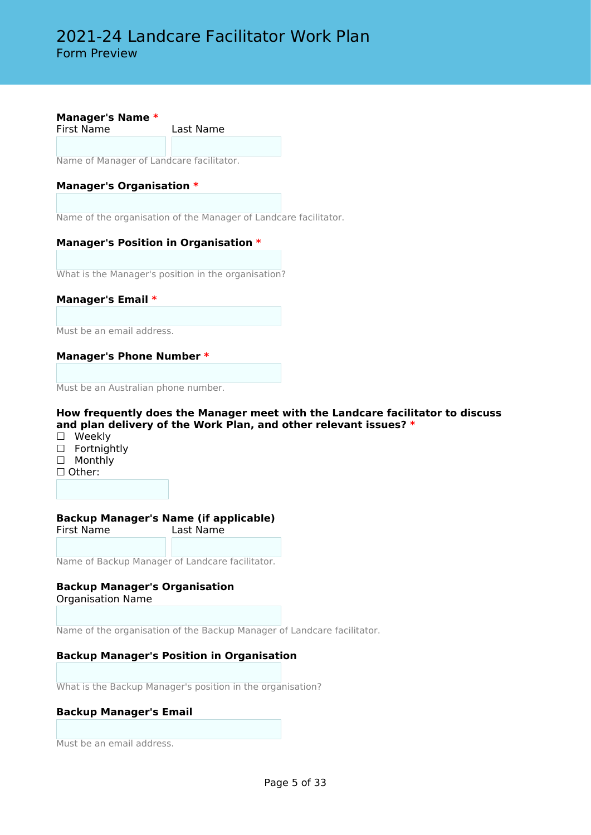**Manager's Name \*** First Name Last Name

Name of Manager of Landcare facilitator.

### **Manager's Organisation \***

Name of the organisation of the Manager of Landcare facilitator.

### **Manager's Position in Organisation \***

What is the Manager's position in the organisation?

### **Manager's Email \***

Must be an email address.

### **Manager's Phone Number \***

Must be an Australian phone number.

### **How frequently does the Manager meet with the Landcare facilitator to discuss and plan delivery of the Work Plan, and other relevant issues? \***

- ☐ Weekly
- □ Fortnightly
- □ Monthly
- ☐ Other:

#### **Backup Manager's Name (if applicable)** Last Name

Name of Backup Manager of Landcare facilitator.

#### **Backup Manager's Organisation** Organisation Name

Name of the organisation of the Backup Manager of Landcare facilitator.

### **Backup Manager's Position in Organisation**

What is the Backup Manager's position in the organisation?

### **Backup Manager's Email**

Must be an email address.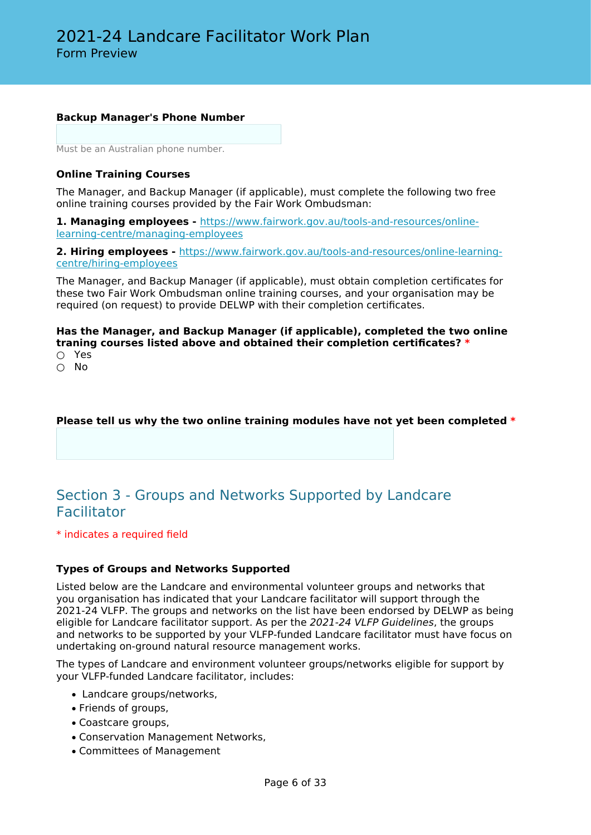### **Backup Manager's Phone Number**

Must be an Australian phone number.

### **Online Training Courses**

The Manager, and Backup Manager (if applicable), must complete the following two free online training courses provided by the Fair Work Ombudsman:

**1. Managing employees -** [https://www.fairwork.gov.au/tools-and-resources/online](https://www.fairwork.gov.au/tools-and-resources/online-learning-centre/managing-employees)[learning-centre/managing-employees](https://www.fairwork.gov.au/tools-and-resources/online-learning-centre/managing-employees)

**2. Hiring employees -** [https://www.fairwork.gov.au/tools-and-resources/online-learning](https://www.fairwork.gov.au/tools-and-resources/online-learning-centre/hiring-employees)[centre/hiring-employees](https://www.fairwork.gov.au/tools-and-resources/online-learning-centre/hiring-employees)

The Manager, and Backup Manager (if applicable), must obtain completion certificates for these two Fair Work Ombudsman online training courses, and your organisation may be required (on request) to provide DELWP with their completion certificates.

### **Has the Manager, and Backup Manager (if applicable), completed the two online traning courses listed above and obtained their completion certificates? \***

- Yes
- $\cap$  No

### **Please tell us why the two online training modules have not yet been completed \***

# Section 3 - Groups and Networks Supported by Landcare Facilitator

\* indicates a required field

### **Types of Groups and Networks Supported**

Listed below are the Landcare and environmental volunteer groups and networks that you organisation has indicated that your Landcare facilitator will support through the 2021-24 VLFP. The groups and networks on the list have been endorsed by DELWP as being eligible for Landcare facilitator support. As per the *2021-24 VLFP Guidelines*, the groups and networks to be supported by your VLFP-funded Landcare facilitator must have focus on undertaking on-ground natural resource management works.

The types of Landcare and environment volunteer groups/networks eligible for support by your VLFP-funded Landcare facilitator, includes:

- Landcare groups/networks,
- Friends of groups,
- Coastcare groups,
- Conservation Management Networks,
- Committees of Management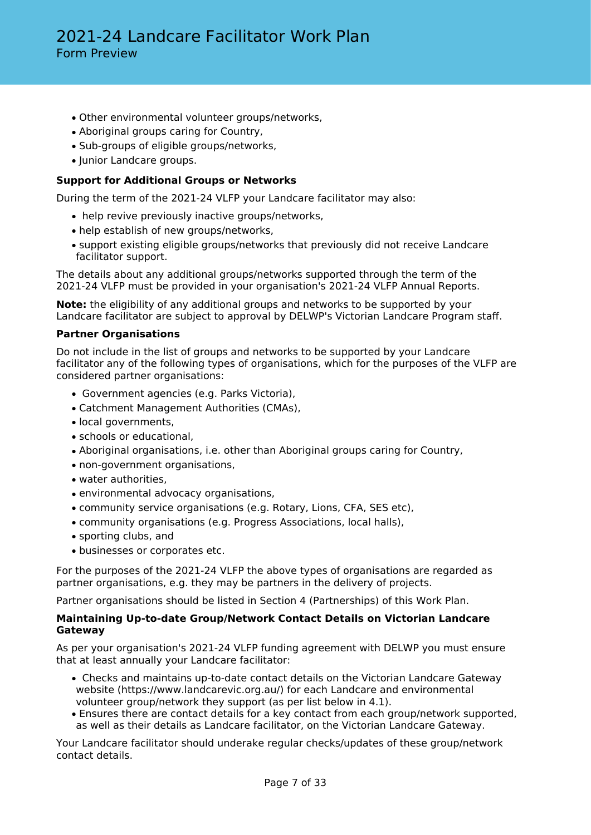- Other environmental volunteer groups/networks,
- Aboriginal groups caring for Country,
- Sub-groups of eligible groups/networks,
- Junior Landcare groups.

### **Support for Additional Groups or Networks**

During the term of the 2021-24 VLFP your Landcare facilitator may also:

- help revive previously inactive groups/networks,
- help establish of new groups/networks,
- support existing eligible groups/networks that previously did not receive Landcare facilitator support.

The details about any additional groups/networks supported through the term of the 2021-24 VLFP must be provided in your organisation's 2021-24 VLFP Annual Reports.

**Note:** the eligibility of any additional groups and networks to be supported by your Landcare facilitator are subject to approval by DELWP's Victorian Landcare Program staff.

### **Partner Organisations**

Do not include in the list of groups and networks to be supported by your Landcare facilitator any of the following types of organisations, which for the purposes of the VLFP are considered partner organisations:

- Government agencies (e.g. Parks Victoria),
- Catchment Management Authorities (CMAs),
- local governments,
- schools or educational,
- Aboriginal organisations, i.e. other than Aboriginal groups caring for Country,
- non-government organisations,
- water authorities,
- environmental advocacy organisations,
- community service organisations (e.g. Rotary, Lions, CFA, SES etc),
- community organisations (e.g. Progress Associations, local halls),
- sporting clubs, and
- businesses or corporates etc.

For the purposes of the 2021-24 VLFP the above types of organisations are regarded as partner organisations, e.g. they may be partners in the delivery of projects.

Partner organisations should be listed in Section 4 (Partnerships) of this Work Plan.

### **Maintaining Up-to-date Group/Network Contact Details on Victorian Landcare Gateway**

As per your organisation's 2021-24 VLFP funding agreement with DELWP you must ensure that at least annually your Landcare facilitator:

- Checks and maintains up-to-date contact details on the Victorian Landcare Gateway website (https://www.landcarevic.org.au/) for each Landcare and environmental volunteer group/network they support (as per list below in 4.1).
- Ensures there are contact details for a key contact from each group/network supported, as well as their details as Landcare facilitator, on the Victorian Landcare Gateway.

Your Landcare facilitator should underake regular checks/updates of these group/network contact details.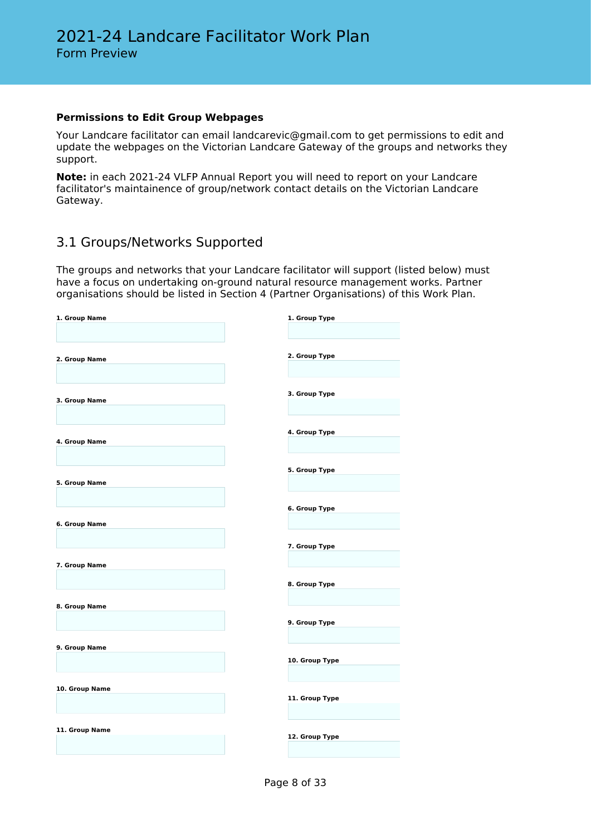### **Permissions to Edit Group Webpages**

Your Landcare facilitator can email landcarevic@gmail.com to get permissions to edit and update the webpages on the Victorian Landcare Gateway of the groups and networks they support.

**Note:** in each 2021-24 VLFP Annual Report you will need to report on your Landcare facilitator's maintainence of group/network contact details on the Victorian Landcare Gateway.

## 3.1 Groups/Networks Supported

The groups and networks that your Landcare facilitator will support (listed below) must have a focus on undertaking on-ground natural resource management works. Partner organisations should be listed in Section 4 (Partner Organisations) of this Work Plan.

| 1. Group Name  | 1. Group Type  |
|----------------|----------------|
|                |                |
|                |                |
|                |                |
|                |                |
| 2. Group Name  | 2. Group Type  |
|                |                |
|                |                |
|                |                |
|                | 3. Group Type  |
| 3. Group Name  |                |
|                |                |
|                |                |
|                |                |
|                | 4. Group Type  |
| 4. Group Name  |                |
|                |                |
|                |                |
|                | 5. Group Type  |
|                |                |
| 5. Group Name  |                |
|                |                |
|                |                |
|                | 6. Group Type  |
| 6. Group Name  |                |
|                |                |
|                |                |
|                | 7. Group Type  |
|                |                |
| 7. Group Name  |                |
|                |                |
|                |                |
|                | 8. Group Type  |
|                |                |
| 8. Group Name  |                |
|                |                |
|                | 9. Group Type  |
|                |                |
|                |                |
| 9. Group Name  |                |
|                | 10. Group Type |
|                |                |
|                |                |
|                |                |
| 10. Group Name |                |
|                | 11. Group Type |
|                |                |
|                |                |
|                |                |
| 11. Group Name | 12. Group Type |
|                |                |
|                |                |
|                |                |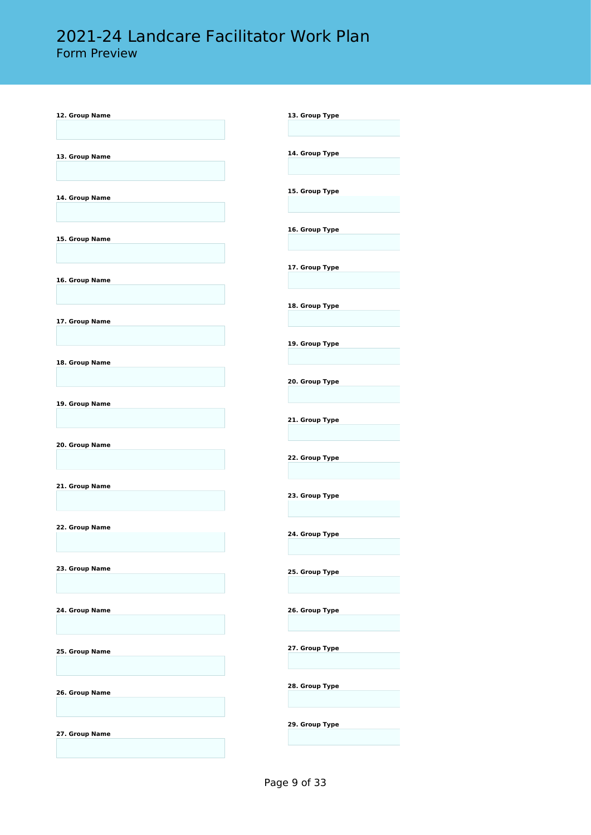# 2021-24 Landcare Facilitator Work Plan

Form Preview

| 12. Group Name | 13. Group Type                   |
|----------------|----------------------------------|
| 13. Group Name | 14. Group Type                   |
| 14. Group Name | 15. Group Type                   |
| 15. Group Name | 16. Group Type                   |
| 16. Group Name | 17. Group Type                   |
| 17. Group Name | 18. Group Type                   |
| 18. Group Name | 19. Group Type                   |
| 19. Group Name | 20. Group Type<br>21. Group Type |
| 20. Group Name | 22. Group Type                   |
| 21. Group Name | 23. Group Type                   |
| 22. Group Name | 24. Group Type                   |
| 23. Group Name | 25. Group Type                   |
| 24. Group Name | 26. Group Type                   |
| 25. Group Name | 27. Group Type                   |
| 26. Group Name | 28. Group Type                   |
| 27. Group Name | 29. Group Type                   |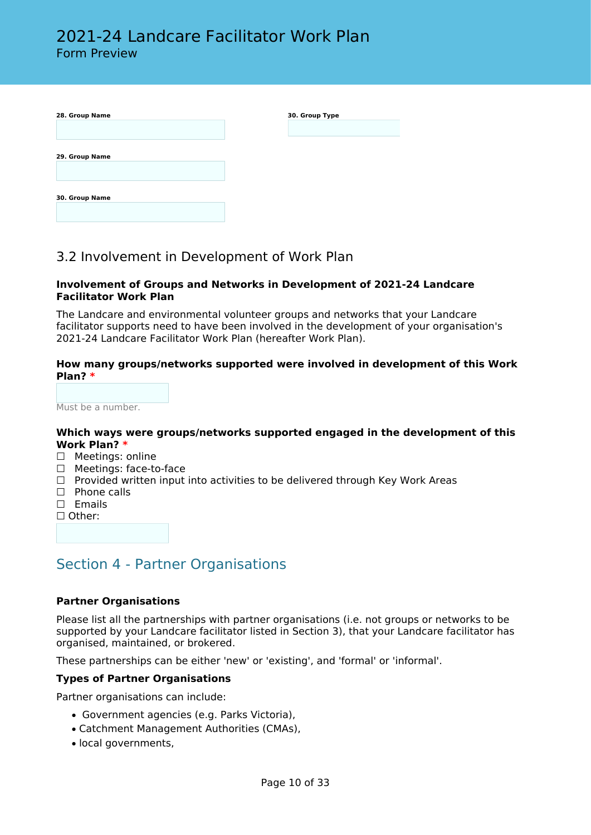| 28. Group Name | 30. Group Type |
|----------------|----------------|
|                |                |
|                |                |
| 29. Group Name |                |
|                |                |
| 30. Group Name |                |
|                |                |

### 3.2 Involvement in Development of Work Plan

### **Involvement of Groups and Networks in Development of 2021-24 Landcare Facilitator Work Plan**

The Landcare and environmental volunteer groups and networks that your Landcare facilitator supports need to have been involved in the development of your organisation's 2021-24 Landcare Facilitator Work Plan (hereafter Work Plan).

### **How many groups/networks supported were involved in development of this Work Plan? \***

Must be a number.

### **Which ways were groups/networks supported engaged in the development of this Work Plan? \***

- □ Meetings: online
- □ Meetings: face-to-face
- $\Box$  Provided written input into activities to be delivered through Key Work Areas
- □ Phone calls
- □ Emails
- ☐ Other:

# Section 4 - Partner Organisations

### **Partner Organisations**

Please list all the partnerships with partner organisations (i.e. not groups or networks to be supported by your Landcare facilitator listed in Section 3), that your Landcare facilitator has organised, maintained, or brokered.

These partnerships can be either 'new' or 'existing', and 'formal' or 'informal'.

### **Types of Partner Organisations**

Partner organisations can include:

- Government agencies (e.g. Parks Victoria),
- Catchment Management Authorities (CMAs),
- local governments,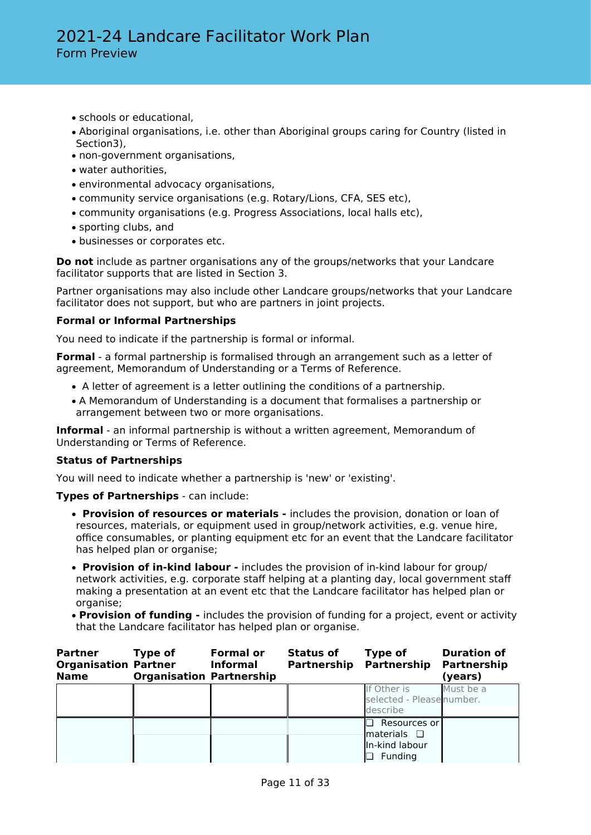- schools or educational,
- Aboriginal organisations, i.e. other than Aboriginal groups caring for Country (listed in Section3),
- non-government organisations,
- water authorities,
- environmental advocacy organisations,
- community service organisations (e.g. Rotary/Lions, CFA, SES etc),
- community organisations (e.g. Progress Associations, local halls etc),
- sporting clubs, and
- businesses or corporates etc.

**Do not** include as partner organisations any of the groups/networks that your Landcare facilitator supports that are listed in Section 3.

Partner organisations may also include other Landcare groups/networks that your Landcare facilitator does not support, but who are partners in joint projects.

### **Formal or Informal Partnerships**

You need to indicate if the partnership is formal or informal.

**Formal** - a formal partnership is formalised through an arrangement such as a letter of agreement, Memorandum of Understanding or a Terms of Reference.

- A letter of agreement is a letter outlining the conditions of a partnership.
- A Memorandum of Understanding is a document that formalises a partnership or arrangement between two or more organisations.

**Informal** - an informal partnership is without a written agreement, Memorandum of Understanding or Terms of Reference.

### **Status of Partnerships**

You will need to indicate whether a partnership is 'new' or 'existing'.

**Types of Partnerships** - can include:

- • **Provision of resources or materials** includes the provision, donation or loan of resources, materials, or equipment used in group/network activities, e.g. venue hire, office consumables, or planting equipment etc for an event that the Landcare facilitator has helped plan or organise;
- • **Provision of in-kind labour** includes the provision of in-kind labour for group/ network activities, e.g. corporate staff helping at a planting day, local government staff making a presentation at an event etc that the Landcare facilitator has helped plan or organise;
- **Provision of funding** includes the provision of funding for a project, event or activity that the Landcare facilitator has helped plan or organise.

| <b>Partner</b><br><b>Organisation Partner</b><br><b>Name</b> | Type of<br><b>Organisation Partnership</b> | <b>Formal or</b><br><b>Informal</b> | <b>Status of</b><br><b>Partnership Partnership</b> | Type of                                                         | <b>Duration of</b><br>Partnership<br>(years) |
|--------------------------------------------------------------|--------------------------------------------|-------------------------------------|----------------------------------------------------|-----------------------------------------------------------------|----------------------------------------------|
|                                                              |                                            |                                     |                                                    | If Other is<br>selected - Please number.<br>describe            | Must be a                                    |
|                                                              |                                            |                                     |                                                    | Resources or<br>materials <b>Q</b><br>In-kind labour<br>Funding |                                              |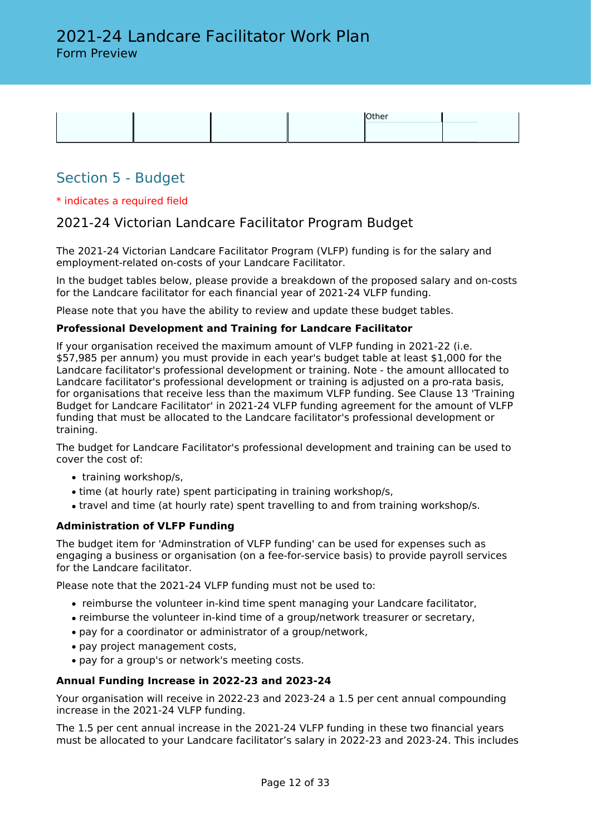

# Section 5 - Budget

### \* indicates a required field

### 2021-24 Victorian Landcare Facilitator Program Budget

The 2021-24 Victorian Landcare Facilitator Program (VLFP) funding is for the salary and employment-related on-costs of your Landcare Facilitator.

In the budget tables below, please provide a breakdown of the proposed salary and on-costs for the Landcare facilitator for each financial year of 2021-24 VLFP funding.

Please note that you have the ability to review and update these budget tables.

### **Professional Development and Training for Landcare Facilitator**

If your organisation received the maximum amount of VLFP funding in 2021-22 (i.e. \$57,985 per annum) you must provide in each year's budget table at least \$1,000 for the Landcare facilitator's professional development or training. Note - the amount alllocated to Landcare facilitator's professional development or training is adjusted on a pro-rata basis, for organisations that receive less than the maximum VLFP funding. See Clause 13 'Training Budget for Landcare Facilitator' in 2021-24 VLFP funding agreement for the amount of VLFP funding that must be allocated to the Landcare facilitator's professional development or training.

The budget for Landcare Facilitator's professional development and training can be used to cover the cost of:

- training workshop/s,
- time (at hourly rate) spent participating in training workshop/s,
- travel and time (at hourly rate) spent travelling to and from training workshop/s.

### **Administration of VLFP Funding**

The budget item for 'Adminstration of VLFP funding' can be used for expenses such as engaging a business or organisation (on a fee-for-service basis) to provide payroll services for the Landcare facilitator.

Please note that the 2021-24 VLFP funding must not be used to:

- reimburse the volunteer in-kind time spent managing your Landcare facilitator,
- reimburse the volunteer in-kind time of a group/network treasurer or secretary,
- pay for a coordinator or administrator of a group/network,
- pay project management costs,
- pay for a group's or network's meeting costs.

### **Annual Funding Increase in 2022-23 and 2023-24**

Your organisation will receive in 2022-23 and 2023-24 a 1.5 per cent annual compounding increase in the 2021-24 VLFP funding.

The 1.5 per cent annual increase in the 2021-24 VLFP funding in these two financial years must be allocated to your Landcare facilitator's salary in 2022-23 and 2023-24. This includes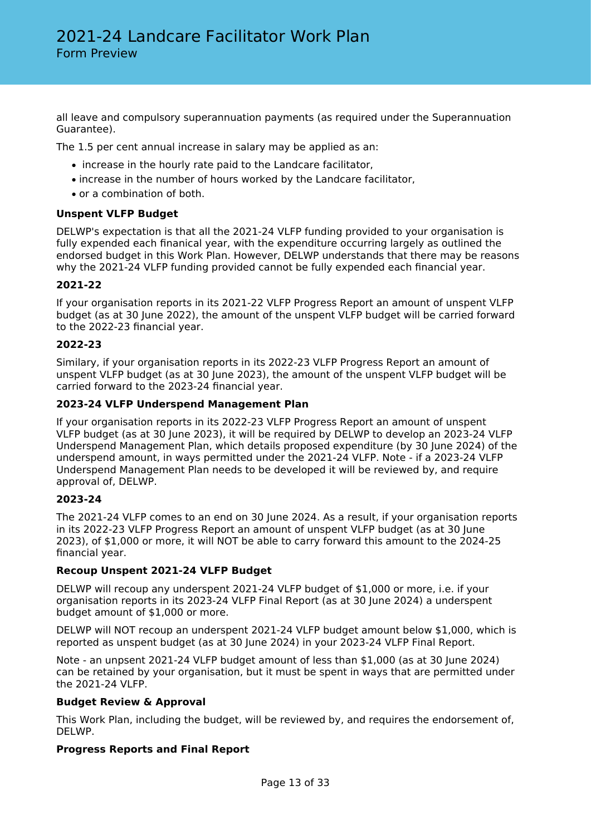all leave and compulsory superannuation payments (as required under the Superannuation Guarantee).

The 1.5 per cent annual increase in salary may be applied as an:

- increase in the hourly rate paid to the Landcare facilitator,
- increase in the number of hours worked by the Landcare facilitator,
- or a combination of both.

### **Unspent VLFP Budget**

DELWP's expectation is that all the 2021-24 VLFP funding provided to your organisation is fully expended each finanical year, with the expenditure occurring largely as outlined the endorsed budget in this Work Plan. However, DELWP understands that there may be reasons why the 2021-24 VLFP funding provided cannot be fully expended each financial year.

### **2021-22**

If your organisation reports in its 2021-22 VLFP Progress Report an amount of unspent VLFP budget (as at 30 June 2022), the amount of the unspent VLFP budget will be carried forward to the 2022-23 financial year.

### **2022-23**

Similary, if your organisation reports in its 2022-23 VLFP Progress Report an amount of unspent VLFP budget (as at 30 June 2023), the amount of the unspent VLFP budget will be carried forward to the 2023-24 financial year.

### **2023-24 VLFP Underspend Management Plan**

If your organisation reports in its 2022-23 VLFP Progress Report an amount of unspent VLFP budget (as at 30 June 2023), it will be required by DELWP to develop an 2023-24 VLFP Underspend Management Plan, which details proposed expenditure (by 30 June 2024) of the underspend amount, in ways permitted under the 2021-24 VLFP. Note - if a 2023-24 VLFP Underspend Management Plan needs to be developed it will be reviewed by, and require approval of, DELWP.

### **2023-24**

The 2021-24 VLFP comes to an end on 30 June 2024. As a result, if your organisation reports in its 2022-23 VLFP Progress Report an amount of unspent VLFP budget (as at 30 June 2023), of \$1,000 or more, it will NOT be able to carry forward this amount to the 2024-25 financial year.

### **Recoup Unspent 2021-24 VLFP Budget**

DELWP will recoup any underspent 2021-24 VLFP budget of \$1,000 or more, i.e. if your organisation reports in its 2023-24 VLFP Final Report (as at 30 June 2024) a underspent budget amount of \$1,000 or more.

DELWP will NOT recoup an underspent 2021-24 VLFP budget amount below \$1,000, which is reported as unspent budget (as at 30 June 2024) in your 2023-24 VLFP Final Report.

Note - an unpsent 2021-24 VLFP budget amount of less than \$1,000 (as at 30 June 2024) can be retained by your organisation, but it must be spent in ways that are permitted under the 2021-24 VLFP.

### **Budget Review & Approval**

This Work Plan, including the budget, will be reviewed by, and requires the endorsement of, DELWP.

### **Progress Reports and Final Report**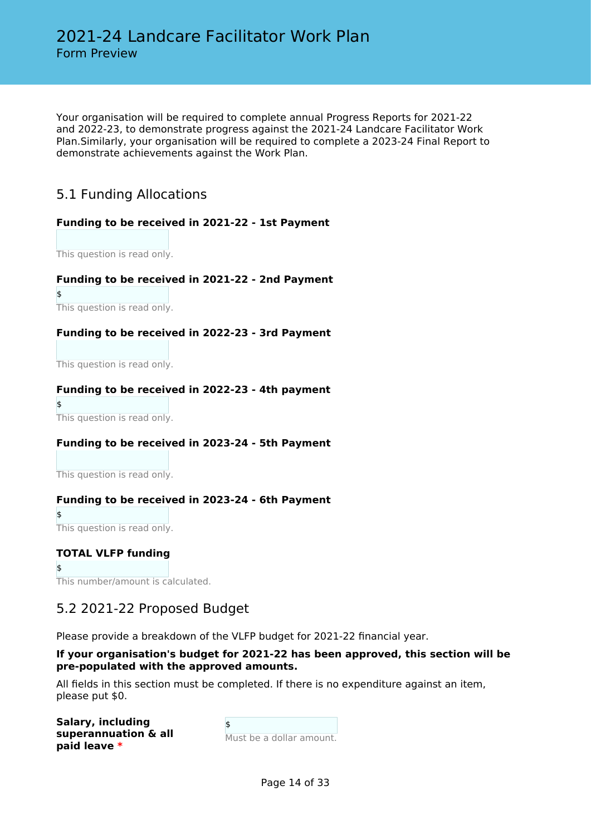Your organisation will be required to complete annual Progress Reports for 2021-22 and 2022-23, to demonstrate progress against the 2021-24 Landcare Facilitator Work Plan.Similarly, your organisation will be required to complete a 2023-24 Final Report to demonstrate achievements against the Work Plan.

# 5.1 Funding Allocations

### **Funding to be received in 2021-22 - 1st Payment**

This question is read only.

### **Funding to be received in 2021-22 - 2nd Payment**

This question is read only.

 $\ddot{\epsilon}$ 

### **Funding to be received in 2022-23 - 3rd Payment**

This question is read only.

### **Funding to be received in 2022-23 - 4th payment**

\$ This question is read only.

### **Funding to be received in 2023-24 - 5th Payment**

This question is read only.

### **Funding to be received in 2023-24 - 6th Payment**

\$ This question is read only.

### **TOTAL VLFP funding**

\$ This number/amount is calculated.

### 5.2 2021-22 Proposed Budget

Please provide a breakdown of the VLFP budget for 2021-22 financial year.

### **If your organisation's budget for 2021-22 has been approved, this section will be pre-populated with the approved amounts.**

All fields in this section must be completed. If there is no expenditure against an item, please put \$0.

| Salary, including    |
|----------------------|
| superannuation & all |
| paid leave *         |

 $\ddot{\bm{\epsilon}}$ Must be a dollar amount.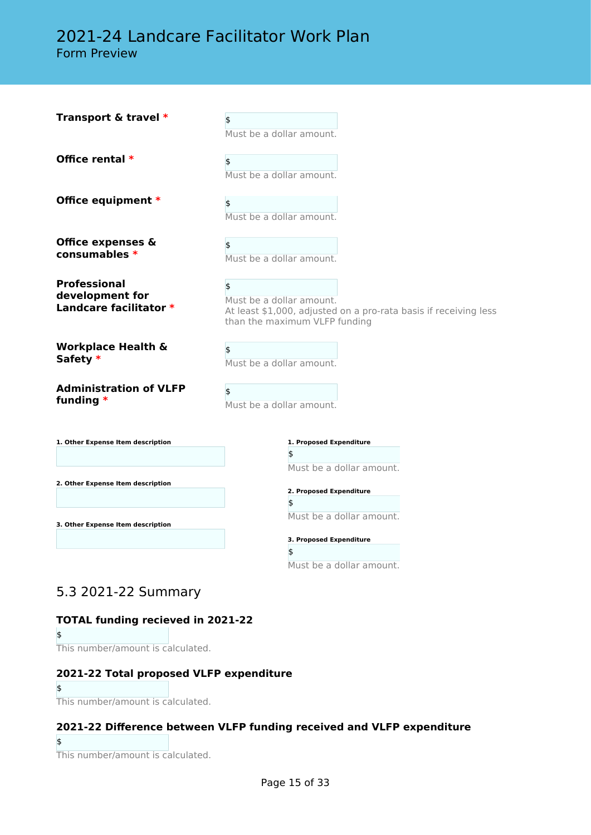# 2021-24 Landcare Facilitator Work Plan

Form Preview

| Transport & travel *                                             | \$<br>Must be a dollar amount.                                                                                                      |
|------------------------------------------------------------------|-------------------------------------------------------------------------------------------------------------------------------------|
| Office rental *                                                  | \$<br>Must be a dollar amount.                                                                                                      |
| Office equipment *                                               | \$<br>Must be a dollar amount.                                                                                                      |
| Office expenses &<br>consumables $*$                             | \$<br>Must be a dollar amount.                                                                                                      |
| <b>Professional</b><br>development for<br>Landcare facilitator * | \$<br>Must be a dollar amount.<br>At least \$1,000, adjusted on a pro-rata basis if receiving less<br>than the maximum VLFP funding |
| <b>Workplace Health &amp;</b><br>Safety *                        | \$<br>Must be a dollar amount.                                                                                                      |
| <b>Administration of VLFP</b><br>funding $*$                     | \$<br>Must be a dollar amount.                                                                                                      |
| 1. Other Expense Item description                                | 1. Proposed Expenditure<br>\$                                                                                                       |
| 2. Other Expense Item description                                | Must be a dollar amount.                                                                                                            |
|                                                                  | 2. Proposed Expenditure<br>\$                                                                                                       |
| 3. Other Expense Item description                                | Must be a dollar amount.                                                                                                            |
|                                                                  | 3. Proposed Expenditure                                                                                                             |
|                                                                  | \$                                                                                                                                  |

### 5.3 2021-22 Summary

### **TOTAL funding recieved in 2021-22**

\$

This number/amount is calculated.

### **2021-22 Total proposed VLFP expenditure**

\$ This number/amount is calculated.

### **2021-22 Difference between VLFP funding received and VLFP expenditure**

\$

This number/amount is calculated.

Must be a dollar amount.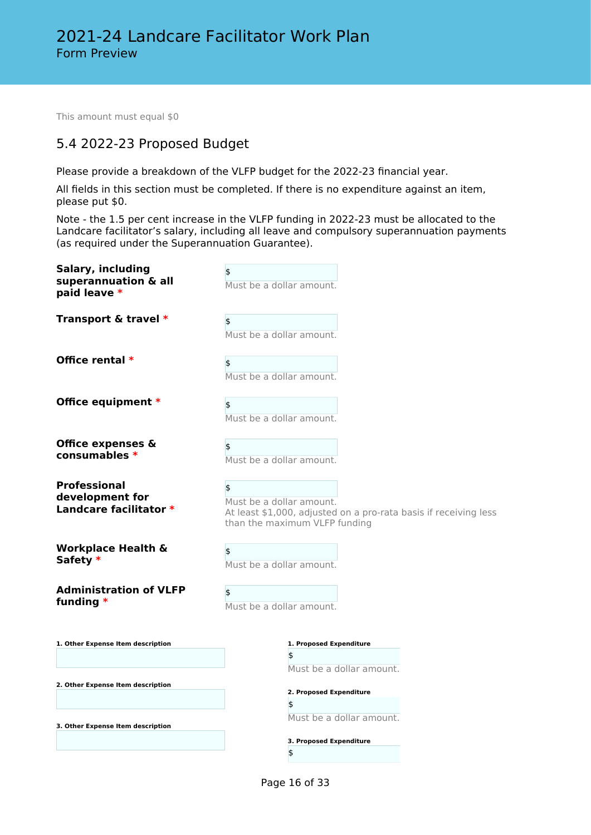This amount must equal \$0

# 5.4 2022-23 Proposed Budget

Please provide a breakdown of the VLFP budget for the 2022-23 financial year.

All fields in this section must be completed. If there is no expenditure against an item, please put \$0.

Note - the 1.5 per cent increase in the VLFP funding in 2022-23 must be allocated to the Landcare facilitator's salary, including all leave and compulsory superannuation payments (as required under the Superannuation Guarantee).

| Salary, including<br>superannuation & all<br>paid leave *        | Must be a dollar amount.                                                                                                            |
|------------------------------------------------------------------|-------------------------------------------------------------------------------------------------------------------------------------|
| Transport & travel *                                             | \$<br>Must be a dollar amount.                                                                                                      |
| Office rental *                                                  | \$<br>Must be a dollar amount.                                                                                                      |
| Office equipment *                                               | \$<br>Must be a dollar amount.                                                                                                      |
| Office expenses &<br>consumables *                               | \$<br>Must be a dollar amount.                                                                                                      |
| <b>Professional</b><br>development for<br>Landcare facilitator * | \$<br>Must be a dollar amount.<br>At least \$1,000, adjusted on a pro-rata basis if receiving less<br>than the maximum VLFP funding |
| <b>Workplace Health &amp;</b><br>Safety *                        | \$<br>Must be a dollar amount.                                                                                                      |
| <b>Administration of VLFP</b><br>funding *                       | \$<br>Must be a dollar amount.                                                                                                      |
| 1. Other Expense Item description                                | 1. Proposed Expenditure<br>\$<br>Must be a dollar amount.                                                                           |
| 2. Other Expense Item description                                | 2. Proposed Expenditure                                                                                                             |
| 3. Other Expense Item description                                | \$<br>Must be a dollar amount.                                                                                                      |
|                                                                  | 3. Proposed Expenditure<br>\$                                                                                                       |

Page 16 of 33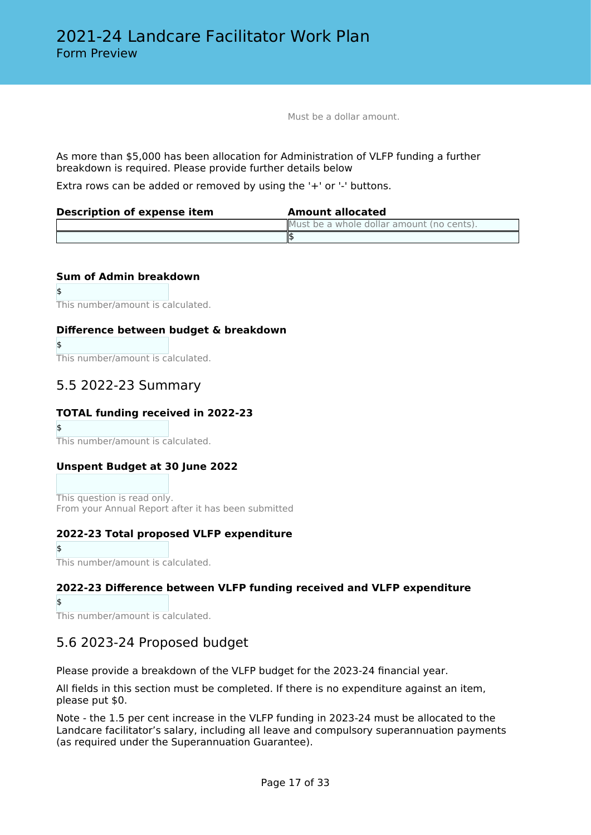Must be a dollar amount.

As more than \$5,000 has been allocation for Administration of VLFP funding a further breakdown is required. Please provide further details below

Extra rows can be added or removed by using the '+' or '-' buttons.

| Description of expense item | <b>Amount allocated</b>                   |
|-----------------------------|-------------------------------------------|
|                             | Must be a whole dollar amount (no cents). |
|                             |                                           |

### **Sum of Admin breakdown**

\$

\$

This number/amount is calculated.

### **Difference between budget & breakdown**

This number/amount is calculated.

## 5.5 2022-23 Summary

### **TOTAL funding received in 2022-23**

\$

This number/amount is calculated.

### **Unspent Budget at 30 June 2022**

This question is read only. From your Annual Report after it has been submitted

### **2022-23 Total proposed VLFP expenditure**

\$ This number/amount is calculated.

### **2022-23 Difference between VLFP funding received and VLFP expenditure**

\$

This number/amount is calculated.

### 5.6 2023-24 Proposed budget

Please provide a breakdown of the VLFP budget for the 2023-24 financial year.

All fields in this section must be completed. If there is no expenditure against an item, please put \$0.

Note - the 1.5 per cent increase in the VLFP funding in 2023-24 must be allocated to the Landcare facilitator's salary, including all leave and compulsory superannuation payments (as required under the Superannuation Guarantee).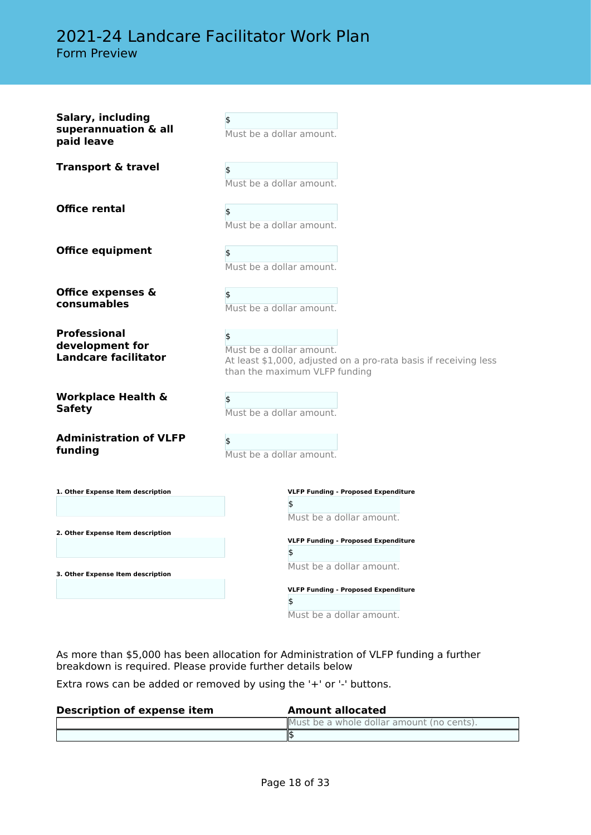# 2021-24 Landcare Facilitator Work Plan Form Preview

| Salary, including<br>superannuation & all<br>paid leave               | \$<br>Must be a dollar amount.                                                                                                      |
|-----------------------------------------------------------------------|-------------------------------------------------------------------------------------------------------------------------------------|
| <b>Transport &amp; travel</b>                                         | \$<br>Must be a dollar amount.                                                                                                      |
| <b>Office rental</b>                                                  | \$<br>Must be a dollar amount.                                                                                                      |
| <b>Office equipment</b>                                               | \$<br>Must be a dollar amount.                                                                                                      |
| <b>Office expenses &amp;</b><br>consumables                           | \$<br>Must be a dollar amount.                                                                                                      |
| <b>Professional</b><br>development for<br><b>Landcare facilitator</b> | \$<br>Must be a dollar amount.<br>At least \$1,000, adjusted on a pro-rata basis if receiving less<br>than the maximum VLFP funding |
| <b>Workplace Health &amp;</b><br><b>Safety</b>                        | \$<br>Must be a dollar amount.                                                                                                      |
| <b>Administration of VLFP</b><br>funding                              | \$<br>Must be a dollar amount.                                                                                                      |
| 1. Other Expense Item description                                     | <b>VLFP Funding - Proposed Expenditure</b><br>\$<br>Must be a dollar amount.                                                        |
| 2. Other Expense Item description                                     | <b>VLFP Funding - Proposed Expenditure</b>                                                                                          |
| 3. Other Expense Item description                                     | \$<br>Must be a dollar amount.                                                                                                      |
|                                                                       | <b>VLFP Funding - Proposed Expenditure</b><br>\$<br>Must be a dollar amount.                                                        |

As more than \$5,000 has been allocation for Administration of VLFP funding a further breakdown is required. Please provide further details below

Extra rows can be added or removed by using the '+' or '-' buttons.

| <b>Description of expense item</b> | <b>Amount allocated</b>                   |
|------------------------------------|-------------------------------------------|
|                                    | Must be a whole dollar amount (no cents). |
|                                    |                                           |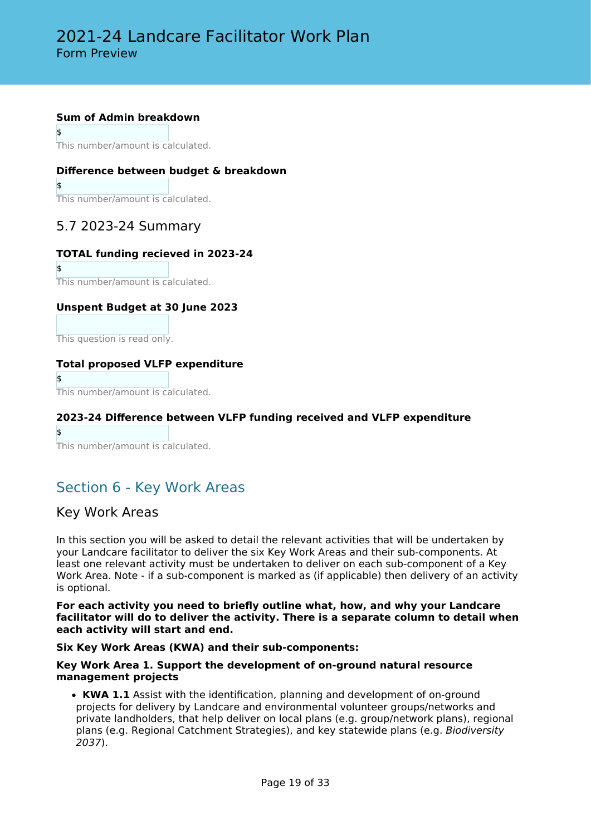### **Sum of Admin breakdown**

\$

This number/amount is calculated.

### **Difference between budget & breakdown**

\$ This number/amount is calculated.

### 5.7 2023-24 Summary

### **TOTAL funding recieved in 2023-24**

\$ This number/amount is calculated.

### **Unspent Budget at 30 June 2023**

This question is read only.

### **Total proposed VLFP expenditure**

 $\ddot{\bm{\zeta}}$ This number/amount is calculated.

### **2023-24 Difference between VLFP funding received and VLFP expenditure**

\$ This number/amount is calculated.

# Section 6 - Key Work Areas

### Key Work Areas

In this section you will be asked to detail the relevant activities that will be undertaken by your Landcare facilitator to deliver the six Key Work Areas and their sub-components. At least one relevant activity must be undertaken to deliver on each sub-component of a Key Work Area. Note - if a sub-component is marked as (if applicable) then delivery of an activity is optional.

**For each activity you need to briefly outline what, how, and why your Landcare facilitator will do to deliver the activity. There is a separate column to detail when each activity will start and end.**

### **Six Key Work Areas (KWA) and their sub-components:**

### **Key Work Area 1. Support the development of on-ground natural resource management projects**

• **KWA 1.1** Assist with the identification, planning and development of on-ground projects for delivery by Landcare and environmental volunteer groups/networks and private landholders, that help deliver on local plans (e.g. group/network plans), regional plans (e.g. Regional Catchment Strategies), and key statewide plans (e.g. *Biodiversity 2037*).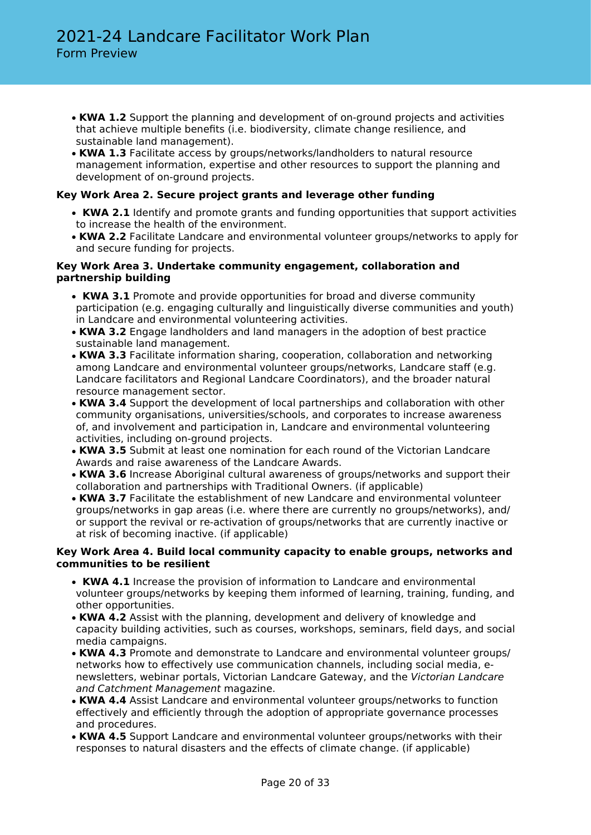- **KWA 1.2** Support the planning and development of on-ground projects and activities that achieve multiple benefits (i.e. biodiversity, climate change resilience, and sustainable land management).
- **KWA 1.3** Facilitate access by groups/networks/landholders to natural resource management information, expertise and other resources to support the planning and development of on-ground projects.

### **Key Work Area 2. Secure project grants and leverage other funding**

- • **KWA 2.1** Identify and promote grants and funding opportunities that support activities to increase the health of the environment.
- **KWA 2.2** Facilitate Landcare and environmental volunteer groups/networks to apply for and secure funding for projects.

### **Key Work Area 3. Undertake community engagement, collaboration and partnership building**

- • **KWA 3.1** Promote and provide opportunities for broad and diverse community participation (e.g. engaging culturally and linguistically diverse communities and youth) in Landcare and environmental volunteering activities.
- **KWA 3.2** Engage landholders and land managers in the adoption of best practice sustainable land management.
- **KWA 3.3** Facilitate information sharing, cooperation, collaboration and networking among Landcare and environmental volunteer groups/networks, Landcare staff (e.g. Landcare facilitators and Regional Landcare Coordinators), and the broader natural resource management sector.
- **KWA 3.4** Support the development of local partnerships and collaboration with other community organisations, universities/schools, and corporates to increase awareness of, and involvement and participation in, Landcare and environmental volunteering activities, including on-ground projects.
- **KWA 3.5** Submit at least one nomination for each round of the Victorian Landcare Awards and raise awareness of the Landcare Awards.
- **KWA 3.6** Increase Aboriginal cultural awareness of groups/networks and support their collaboration and partnerships with Traditional Owners. (if applicable)
- **KWA 3.7** Facilitate the establishment of new Landcare and environmental volunteer groups/networks in gap areas (i.e. where there are currently no groups/networks), and/ or support the revival or re-activation of groups/networks that are currently inactive or at risk of becoming inactive. (if applicable)

### **Key Work Area 4. Build local community capacity to enable groups, networks and communities to be resilient**

- • **KWA 4.1** Increase the provision of information to Landcare and environmental volunteer groups/networks by keeping them informed of learning, training, funding, and other opportunities.
- **KWA 4.2** Assist with the planning, development and delivery of knowledge and capacity building activities, such as courses, workshops, seminars, field days, and social media campaigns.
- **KWA 4.3** Promote and demonstrate to Landcare and environmental volunteer groups/ networks how to effectively use communication channels, including social media, enewsletters, webinar portals, Victorian Landcare Gateway, and the *Victorian Landcare and Catchment Management* magazine.
- **KWA 4.4** Assist Landcare and environmental volunteer groups/networks to function effectively and efficiently through the adoption of appropriate governance processes and procedures.
- **KWA 4.5** Support Landcare and environmental volunteer groups/networks with their responses to natural disasters and the effects of climate change. (if applicable)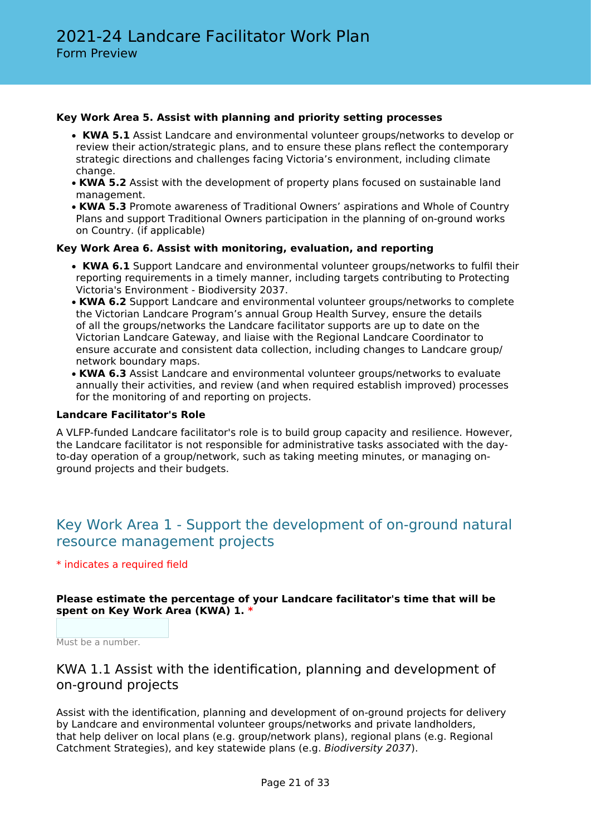### **Key Work Area 5. Assist with planning and priority setting processes**

- • **KWA 5.1** Assist Landcare and environmental volunteer groups/networks to develop or review their action/strategic plans, and to ensure these plans reflect the contemporary strategic directions and challenges facing Victoria's environment, including climate change.
- **KWA 5.2** Assist with the development of property plans focused on sustainable land management.
- **KWA 5.3** Promote awareness of Traditional Owners' aspirations and Whole of Country Plans and support Traditional Owners participation in the planning of on-ground works on Country. (if applicable)

### **Key Work Area 6. Assist with monitoring, evaluation, and reporting**

- • **KWA 6.1** Support Landcare and environmental volunteer groups/networks to fulfil their reporting requirements in a timely manner, including targets contributing to Protecting Victoria's Environment - Biodiversity 2037.
- **KWA 6.2** Support Landcare and environmental volunteer groups/networks to complete the Victorian Landcare Program's annual Group Health Survey, ensure the details of all the groups/networks the Landcare facilitator supports are up to date on the Victorian Landcare Gateway, and liaise with the Regional Landcare Coordinator to ensure accurate and consistent data collection, including changes to Landcare group/ network boundary maps.
- **KWA 6.3** Assist Landcare and environmental volunteer groups/networks to evaluate annually their activities, and review (and when required establish improved) processes for the monitoring of and reporting on projects.

### **Landcare Facilitator's Role**

A VLFP-funded Landcare facilitator's role is to build group capacity and resilience. However, the Landcare facilitator is not responsible for administrative tasks associated with the dayto-day operation of a group/network, such as taking meeting minutes, or managing onground projects and their budgets.

# Key Work Area 1 - Support the development of on-ground natural resource management projects

### \* indicates a required field

### **Please estimate the percentage of your Landcare facilitator's time that will be spent on Key Work Area (KWA) 1. \***

Must be a number.

### KWA 1.1 Assist with the identification, planning and development of on-ground projects

Assist with the identification, planning and development of on-ground projects for delivery by Landcare and environmental volunteer groups/networks and private landholders, that help deliver on local plans (e.g. group/network plans), regional plans (e.g. Regional Catchment Strategies), and key statewide plans (e.g. *Biodiversity 2037*).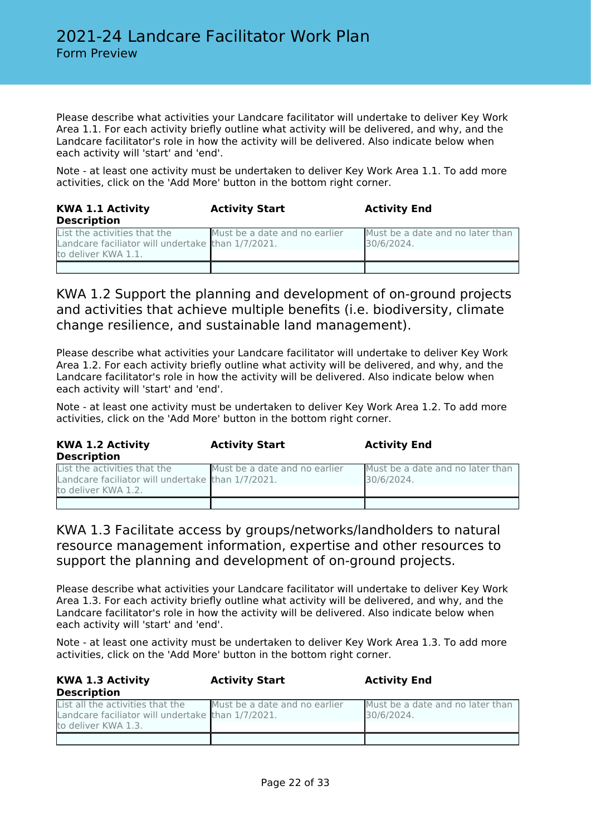Please describe what activities your Landcare facilitator will undertake to deliver Key Work Area 1.1. For each activity briefly outline what activity will be delivered, and why, and the Landcare facilitator's role in how the activity will be delivered. Also indicate below when each activity will 'start' and 'end'.

Note - at least one activity must be undertaken to deliver Key Work Area 1.1. To add more activities, click on the 'Add More' button in the bottom right corner.

| <b>KWA 1.1 Activity</b><br><b>Description</b>                                     | <b>Activity Start</b>         | <b>Activity End</b>                            |
|-----------------------------------------------------------------------------------|-------------------------------|------------------------------------------------|
| List the activities that the<br>Landcare faciliator will undertake than 1/7/2021. | Must be a date and no earlier | Must be a date and no later than<br>30/6/2024. |
| to deliver KWA 1.1.                                                               |                               |                                                |

KWA 1.2 Support the planning and development of on-ground projects and activities that achieve multiple benefits (i.e. biodiversity, climate change resilience, and sustainable land management).

Please describe what activities your Landcare facilitator will undertake to deliver Key Work Area 1.2. For each activity briefly outline what activity will be delivered, and why, and the Landcare facilitator's role in how the activity will be delivered. Also indicate below when each activity will 'start' and 'end'.

Note - at least one activity must be undertaken to deliver Key Work Area 1.2. To add more activities, click on the 'Add More' button in the bottom right corner.

| <b>KWA 1.2 Activity</b><br><b>Description</b>                                                            | <b>Activity Start</b>         | <b>Activity End</b>                            |
|----------------------------------------------------------------------------------------------------------|-------------------------------|------------------------------------------------|
| List the activities that the<br>Landcare faciliator will undertake than 1/7/2021.<br>to deliver KWA 1.2. | Must be a date and no earlier | Must be a date and no later than<br>30/6/2024. |
|                                                                                                          |                               |                                                |

### KWA 1.3 Facilitate access by groups/networks/landholders to natural resource management information, expertise and other resources to support the planning and development of on-ground projects.

Please describe what activities your Landcare facilitator will undertake to deliver Key Work Area 1.3. For each activity briefly outline what activity will be delivered, and why, and the Landcare facilitator's role in how the activity will be delivered. Also indicate below when each activity will 'start' and 'end'.

Note - at least one activity must be undertaken to deliver Key Work Area 1.3. To add more activities, click on the 'Add More' button in the bottom right corner.

| <b>KWA 1.3 Activity</b><br><b>Description</b>                                                                | <b>Activity Start</b>         | <b>Activity End</b>                            |
|--------------------------------------------------------------------------------------------------------------|-------------------------------|------------------------------------------------|
| List all the activities that the<br>Landcare faciliator will undertake than 1/7/2021.<br>to deliver KWA 1.3. | Must be a date and no earlier | Must be a date and no later than<br>30/6/2024. |
|                                                                                                              |                               |                                                |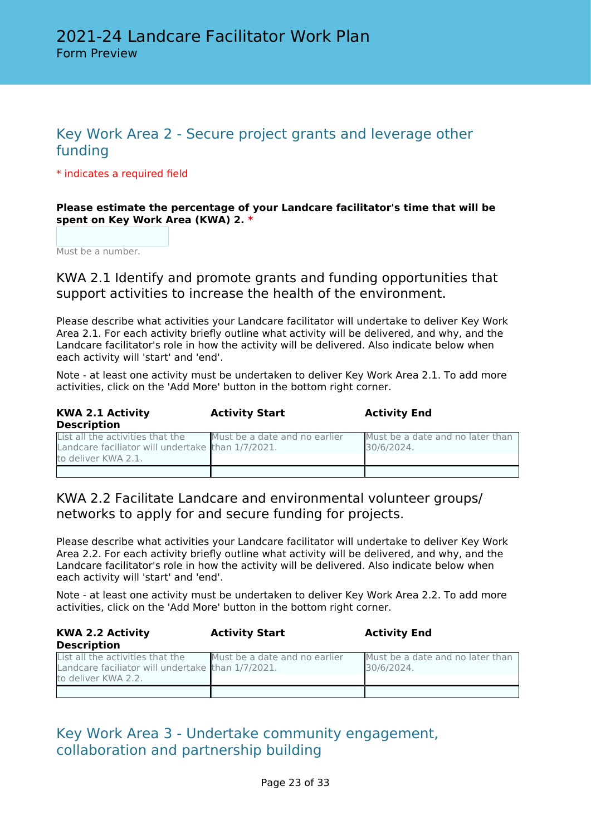# Key Work Area 2 - Secure project grants and leverage other funding

\* indicates a required field

### **Please estimate the percentage of your Landcare facilitator's time that will be spent on Key Work Area (KWA) 2. \***

Must be a number.

KWA 2.1 Identify and promote grants and funding opportunities that support activities to increase the health of the environment.

Please describe what activities your Landcare facilitator will undertake to deliver Key Work Area 2.1. For each activity briefly outline what activity will be delivered, and why, and the Landcare facilitator's role in how the activity will be delivered. Also indicate below when each activity will 'start' and 'end'.

Note - at least one activity must be undertaken to deliver Key Work Area 2.1. To add more activities, click on the 'Add More' button in the bottom right corner.

| <b>KWA 2.1 Activity</b>                                                                                      | <b>Activity Start</b>         | <b>Activity End</b>                            |
|--------------------------------------------------------------------------------------------------------------|-------------------------------|------------------------------------------------|
| <b>Description</b>                                                                                           |                               |                                                |
| List all the activities that the<br>Landcare faciliator will undertake than 1/7/2021.<br>to deliver KWA 2.1. | Must be a date and no earlier | Must be a date and no later than<br>30/6/2024. |
|                                                                                                              |                               |                                                |

KWA 2.2 Facilitate Landcare and environmental volunteer groups/ networks to apply for and secure funding for projects.

Please describe what activities your Landcare facilitator will undertake to deliver Key Work Area 2.2. For each activity briefly outline what activity will be delivered, and why, and the Landcare facilitator's role in how the activity will be delivered. Also indicate below when each activity will 'start' and 'end'.

Note - at least one activity must be undertaken to deliver Key Work Area 2.2. To add more activities, click on the 'Add More' button in the bottom right corner.

| <b>KWA 2.2 Activity</b>                                                               | <b>Activity Start</b>         | <b>Activity End</b>                            |
|---------------------------------------------------------------------------------------|-------------------------------|------------------------------------------------|
| <b>Description</b>                                                                    |                               |                                                |
| List all the activities that the<br>Landcare faciliator will undertake than 1/7/2021. | Must be a date and no earlier | Must be a date and no later than<br>30/6/2024. |
| to deliver KWA 2.2.                                                                   |                               |                                                |
|                                                                                       |                               |                                                |

# Key Work Area 3 - Undertake community engagement, collaboration and partnership building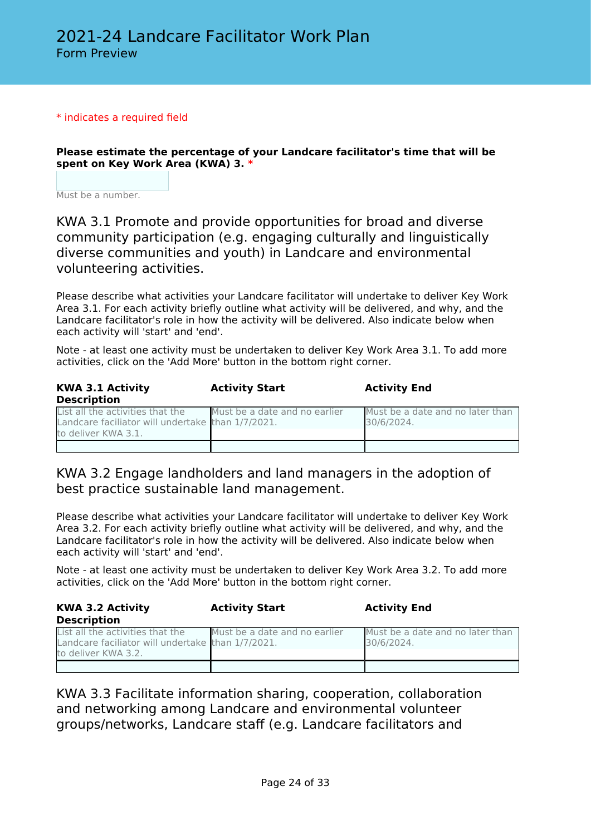#### \* indicates a required field

**Please estimate the percentage of your Landcare facilitator's time that will be spent on Key Work Area (KWA) 3. \***

Must be a number.

KWA 3.1 Promote and provide opportunities for broad and diverse community participation (e.g. engaging culturally and linguistically diverse communities and youth) in Landcare and environmental volunteering activities.

Please describe what activities your Landcare facilitator will undertake to deliver Key Work Area 3.1. For each activity briefly outline what activity will be delivered, and why, and the Landcare facilitator's role in how the activity will be delivered. Also indicate below when each activity will 'start' and 'end'.

Note - at least one activity must be undertaken to deliver Key Work Area 3.1. To add more activities, click on the 'Add More' button in the bottom right corner.

| <b>KWA 3.1 Activity</b><br><b>Description</b>                                                                | <b>Activity Start</b>         | <b>Activity End</b>                            |
|--------------------------------------------------------------------------------------------------------------|-------------------------------|------------------------------------------------|
| List all the activities that the<br>Landcare faciliator will undertake than 1/7/2021.<br>to deliver KWA 3.1. | Must be a date and no earlier | Must be a date and no later than<br>30/6/2024. |
|                                                                                                              |                               |                                                |

### KWA 3.2 Engage landholders and land managers in the adoption of best practice sustainable land management.

Please describe what activities your Landcare facilitator will undertake to deliver Key Work Area 3.2. For each activity briefly outline what activity will be delivered, and why, and the Landcare facilitator's role in how the activity will be delivered. Also indicate below when each activity will 'start' and 'end'.

Note - at least one activity must be undertaken to deliver Key Work Area 3.2. To add more activities, click on the 'Add More' button in the bottom right corner.

**KWA 3.2 Activity Description Activity Start Activity End** List all the activities that the Landcare faciliator will undertake to deliver KWA 3.2. Must be a date and no earlier than 1/7/2021. Must be a date and no later than 30/6/2024.

KWA 3.3 Facilitate information sharing, cooperation, collaboration and networking among Landcare and environmental volunteer groups/networks, Landcare staff (e.g. Landcare facilitators and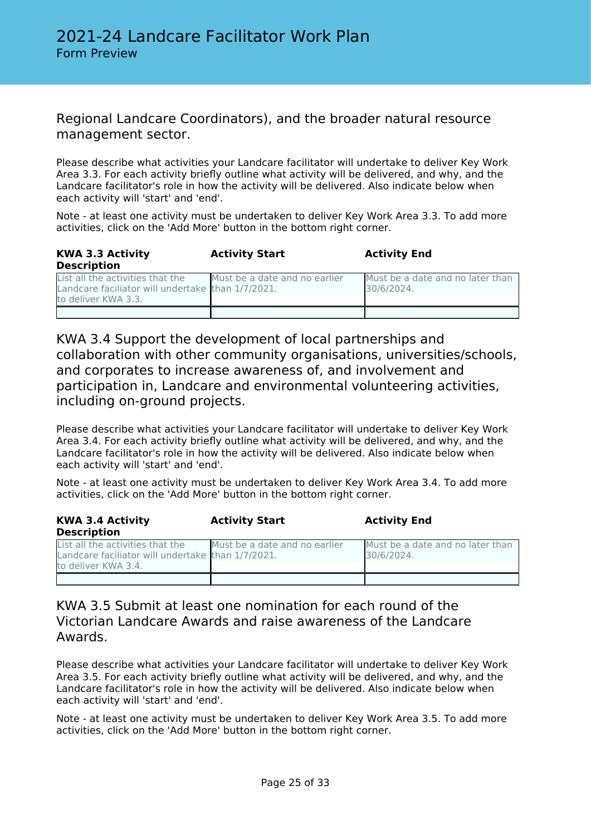### Regional Landcare Coordinators), and the broader natural resource management sector.

Please describe what activities your Landcare facilitator will undertake to deliver Key Work Area 3.3. For each activity briefly outline what activity will be delivered, and why, and the Landcare facilitator's role in how the activity will be delivered. Also indicate below when each activity will 'start' and 'end'.

Note - at least one activity must be undertaken to deliver Key Work Area 3.3. To add more activities, click on the 'Add More' button in the bottom right corner.

| <b>KWA 3.3 Activity</b><br><b>Description</b>                                                                | <b>Activity Start</b>         | <b>Activity End</b>                            |
|--------------------------------------------------------------------------------------------------------------|-------------------------------|------------------------------------------------|
| List all the activities that the<br>Landcare faciliator will undertake than 1/7/2021.<br>to deliver KWA 3.3. | Must be a date and no earlier | Must be a date and no later than<br>30/6/2024. |
|                                                                                                              |                               |                                                |

KWA 3.4 Support the development of local partnerships and collaboration with other community organisations, universities/schools, and corporates to increase awareness of, and involvement and participation in, Landcare and environmental volunteering activities, including on-ground projects.

Please describe what activities your Landcare facilitator will undertake to deliver Key Work Area 3.4. For each activity briefly outline what activity will be delivered, and why, and the Landcare facilitator's role in how the activity will be delivered. Also indicate below when each activity will 'start' and 'end'.

Note - at least one activity must be undertaken to deliver Key Work Area 3.4. To add more activities, click on the 'Add More' button in the bottom right corner.

| <b>KWA 3.4 Activity</b><br><b>Description</b>                                                                | <b>Activity Start</b>         | <b>Activity End</b>                            |
|--------------------------------------------------------------------------------------------------------------|-------------------------------|------------------------------------------------|
| List all the activities that the<br>Landcare faciliator will undertake than 1/7/2021.<br>to deliver KWA 3.4. | Must be a date and no earlier | Must be a date and no later than<br>30/6/2024. |
|                                                                                                              |                               |                                                |

KWA 3.5 Submit at least one nomination for each round of the Victorian Landcare Awards and raise awareness of the Landcare Awards.

Please describe what activities your Landcare facilitator will undertake to deliver Key Work Area 3.5. For each activity briefly outline what activity will be delivered, and why, and the Landcare facilitator's role in how the activity will be delivered. Also indicate below when each activity will 'start' and 'end'.

Note - at least one activity must be undertaken to deliver Key Work Area 3.5. To add more activities, click on the 'Add More' button in the bottom right corner.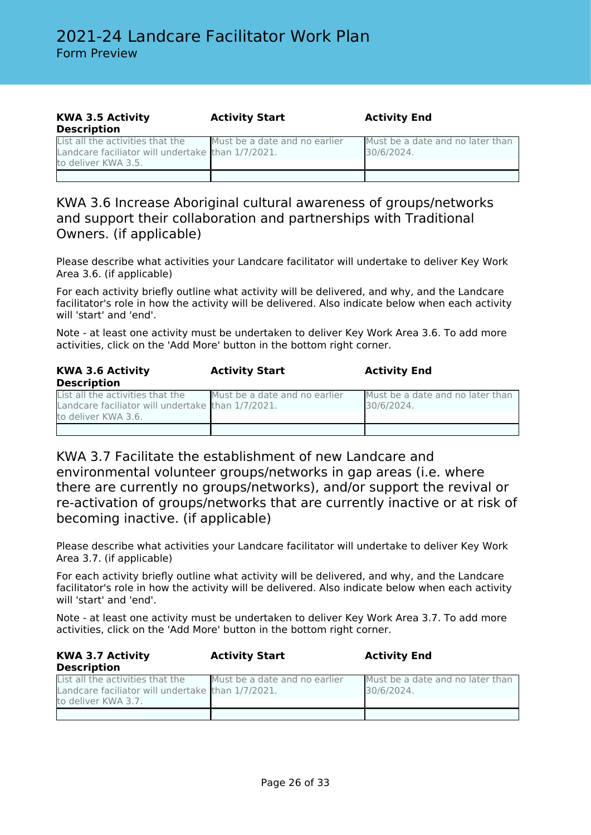| <b>KWA 3.5 Activity</b>                                                                                      | <b>Activity Start</b>         | <b>Activity End</b>                            |
|--------------------------------------------------------------------------------------------------------------|-------------------------------|------------------------------------------------|
| <b>Description</b>                                                                                           |                               |                                                |
| List all the activities that the<br>Landcare faciliator will undertake than 1/7/2021.<br>to deliver KWA 3.5. | Must be a date and no earlier | Must be a date and no later than<br>30/6/2024. |
|                                                                                                              |                               |                                                |

### KWA 3.6 Increase Aboriginal cultural awareness of groups/networks and support their collaboration and partnerships with Traditional Owners. (if applicable)

Please describe what activities your Landcare facilitator will undertake to deliver Key Work Area 3.6. (if applicable)

For each activity briefly outline what activity will be delivered, and why, and the Landcare facilitator's role in how the activity will be delivered. Also indicate below when each activity will 'start' and 'end'.

Note - at least one activity must be undertaken to deliver Key Work Area 3.6. To add more activities, click on the 'Add More' button in the bottom right corner.

| <b>KWA 3.6 Activity</b><br><b>Description</b>                                                                | <b>Activity Start</b>         | <b>Activity End</b>                            |
|--------------------------------------------------------------------------------------------------------------|-------------------------------|------------------------------------------------|
| List all the activities that the<br>Landcare faciliator will undertake than 1/7/2021.<br>to deliver KWA 3.6. | Must be a date and no earlier | Must be a date and no later than<br>30/6/2024. |
|                                                                                                              |                               |                                                |

KWA 3.7 Facilitate the establishment of new Landcare and environmental volunteer groups/networks in gap areas (i.e. where there are currently no groups/networks), and/or support the revival or re-activation of groups/networks that are currently inactive or at risk of becoming inactive. (if applicable)

Please describe what activities your Landcare facilitator will undertake to deliver Key Work Area 3.7. (if applicable)

For each activity briefly outline what activity will be delivered, and why, and the Landcare facilitator's role in how the activity will be delivered. Also indicate below when each activity will 'start' and 'end'.

Note - at least one activity must be undertaken to deliver Key Work Area 3.7. To add more activities, click on the 'Add More' button in the bottom right corner.

| <b>KWA 3.7 Activity</b><br><b>Description</b>                                         | <b>Activity Start</b>         | <b>Activity End</b>                            |
|---------------------------------------------------------------------------------------|-------------------------------|------------------------------------------------|
| List all the activities that the<br>Landcare faciliator will undertake than 1/7/2021. | Must be a date and no earlier | Must be a date and no later than<br>30/6/2024. |
| to deliver KWA 3.7.                                                                   |                               |                                                |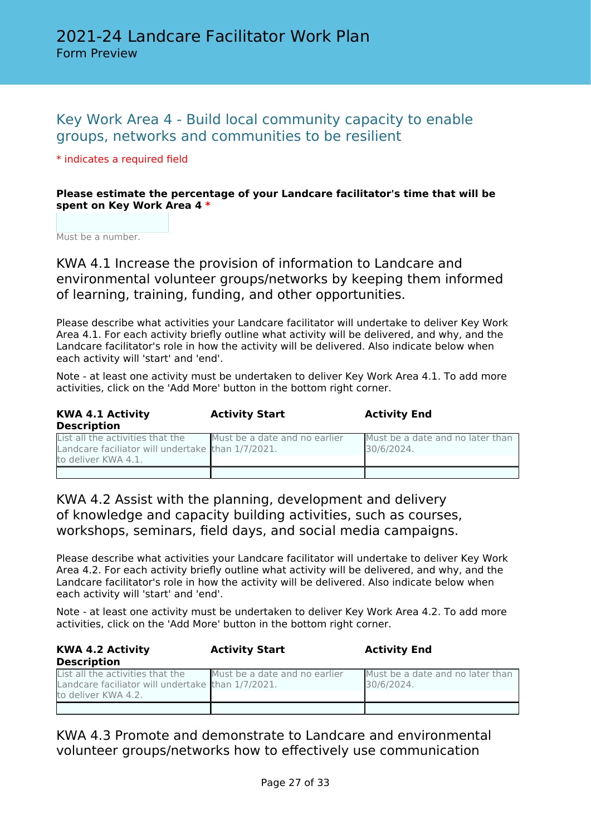# Key Work Area 4 - Build local community capacity to enable groups, networks and communities to be resilient

### \* indicates a required field

### **Please estimate the percentage of your Landcare facilitator's time that will be spent on Key Work Area 4 \***

Must be a number.

KWA 4.1 Increase the provision of information to Landcare and environmental volunteer groups/networks by keeping them informed of learning, training, funding, and other opportunities.

Please describe what activities your Landcare facilitator will undertake to deliver Key Work Area 4.1. For each activity briefly outline what activity will be delivered, and why, and the Landcare facilitator's role in how the activity will be delivered. Also indicate below when each activity will 'start' and 'end'.

Note - at least one activity must be undertaken to deliver Key Work Area 4.1. To add more activities, click on the 'Add More' button in the bottom right corner.

| <b>KWA 4.1 Activity</b><br><b>Description</b>                                                                | <b>Activity Start</b>         | <b>Activity End</b>                            |
|--------------------------------------------------------------------------------------------------------------|-------------------------------|------------------------------------------------|
| List all the activities that the<br>Landcare faciliator will undertake than 1/7/2021.<br>to deliver KWA 4.1. | Must be a date and no earlier | Must be a date and no later than<br>30/6/2024. |
|                                                                                                              |                               |                                                |

KWA 4.2 Assist with the planning, development and delivery of knowledge and capacity building activities, such as courses, workshops, seminars, field days, and social media campaigns.

Please describe what activities your Landcare facilitator will undertake to deliver Key Work Area 4.2. For each activity briefly outline what activity will be delivered, and why, and the Landcare facilitator's role in how the activity will be delivered. Also indicate below when each activity will 'start' and 'end'.

Note - at least one activity must be undertaken to deliver Key Work Area 4.2. To add more activities, click on the 'Add More' button in the bottom right corner.

| <b>KWA 4.2 Activity</b>                                                                                      | <b>Activity Start</b>         | <b>Activity End</b>                            |
|--------------------------------------------------------------------------------------------------------------|-------------------------------|------------------------------------------------|
| <b>Description</b>                                                                                           |                               |                                                |
| List all the activities that the<br>Landcare faciliator will undertake than 1/7/2021.<br>to deliver KWA 4.2. | Must be a date and no earlier | Must be a date and no later than<br>30/6/2024. |
|                                                                                                              |                               |                                                |

KWA 4.3 Promote and demonstrate to Landcare and environmental volunteer groups/networks how to effectively use communication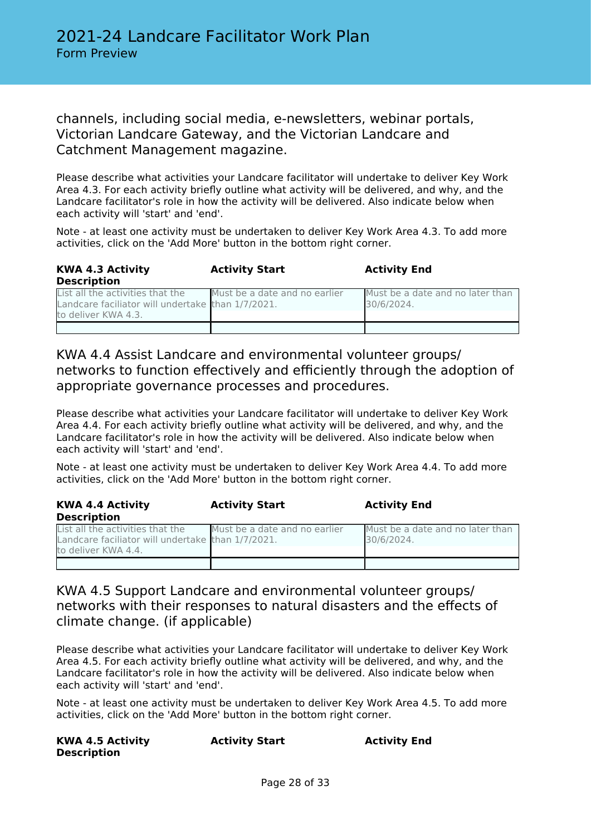### channels, including social media, e-newsletters, webinar portals, Victorian Landcare Gateway, and the Victorian Landcare and Catchment Management magazine.

Please describe what activities your Landcare facilitator will undertake to deliver Key Work Area 4.3. For each activity briefly outline what activity will be delivered, and why, and the Landcare facilitator's role in how the activity will be delivered. Also indicate below when each activity will 'start' and 'end'.

Note - at least one activity must be undertaken to deliver Key Work Area 4.3. To add more activities, click on the 'Add More' button in the bottom right corner.

| <b>KWA 4.3 Activity</b><br><b>Description</b>                                                                | <b>Activity Start</b>         | <b>Activity End</b>                            |
|--------------------------------------------------------------------------------------------------------------|-------------------------------|------------------------------------------------|
| List all the activities that the<br>Landcare faciliator will undertake than 1/7/2021.<br>to deliver KWA 4.3. | Must be a date and no earlier | Must be a date and no later than<br>30/6/2024. |
|                                                                                                              |                               |                                                |

KWA 4.4 Assist Landcare and environmental volunteer groups/ networks to function effectively and efficiently through the adoption of appropriate governance processes and procedures.

Please describe what activities your Landcare facilitator will undertake to deliver Key Work Area 4.4. For each activity briefly outline what activity will be delivered, and why, and the Landcare facilitator's role in how the activity will be delivered. Also indicate below when each activity will 'start' and 'end'.

Note - at least one activity must be undertaken to deliver Key Work Area 4.4. To add more activities, click on the 'Add More' button in the bottom right corner.

| <b>KWA 4.4 Activity</b><br><b>Description</b>     | <b>Activity Start</b>         | <b>Activity End</b>              |
|---------------------------------------------------|-------------------------------|----------------------------------|
| List all the activities that the                  | Must be a date and no earlier | Must be a date and no later than |
| Landcare faciliator will undertake than 1/7/2021. |                               | 30/6/2024.                       |
| to deliver KWA 4.4.                               |                               |                                  |
|                                                   |                               |                                  |

## KWA 4.5 Support Landcare and environmental volunteer groups/ networks with their responses to natural disasters and the effects of climate change. (if applicable)

Please describe what activities your Landcare facilitator will undertake to deliver Key Work Area 4.5. For each activity briefly outline what activity will be delivered, and why, and the Landcare facilitator's role in how the activity will be delivered. Also indicate below when each activity will 'start' and 'end'.

Note - at least one activity must be undertaken to deliver Key Work Area 4.5. To add more activities, click on the 'Add More' button in the bottom right corner.

| <b>KWA 4.5 Activity</b> | <b>Activity Start</b> | <b>Activity End</b> |
|-------------------------|-----------------------|---------------------|
| Description             |                       |                     |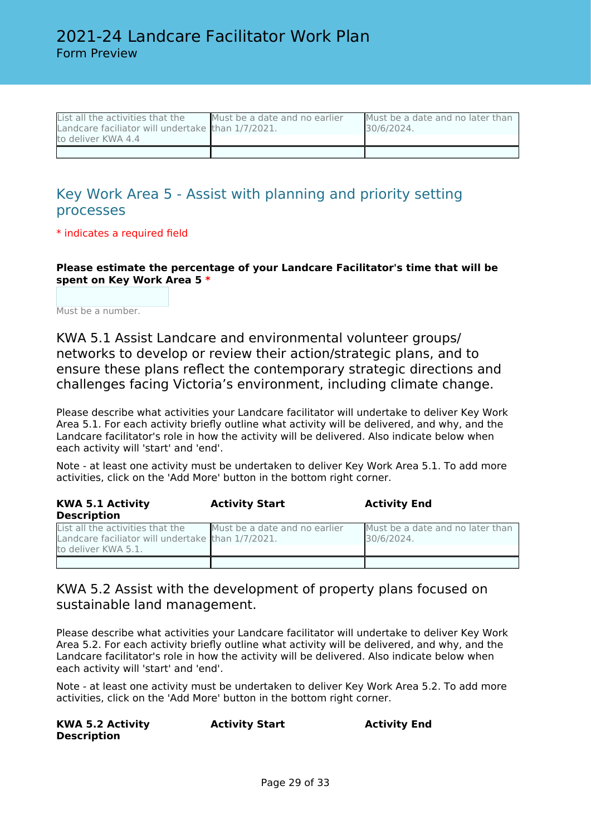| List all the activities that the                  | Must be a date and no earlier | Must be a date and no later than |
|---------------------------------------------------|-------------------------------|----------------------------------|
| Landcare faciliator will undertake than 1/7/2021. |                               | 30/6/2024.                       |
| to deliver KWA 4.4                                |                               |                                  |
|                                                   |                               |                                  |

# Key Work Area 5 - Assist with planning and priority setting processes

\* indicates a required field

**Please estimate the percentage of your Landcare Facilitator's time that will be spent on Key Work Area 5 \***

Must be a number.

KWA 5.1 Assist Landcare and environmental volunteer groups/ networks to develop or review their action/strategic plans, and to ensure these plans reflect the contemporary strategic directions and challenges facing Victoria's environment, including climate change.

Please describe what activities your Landcare facilitator will undertake to deliver Key Work Area 5.1. For each activity briefly outline what activity will be delivered, and why, and the Landcare facilitator's role in how the activity will be delivered. Also indicate below when each activity will 'start' and 'end'.

Note - at least one activity must be undertaken to deliver Key Work Area 5.1. To add more activities, click on the 'Add More' button in the bottom right corner.

| <b>KWA 5.1 Activity</b><br><b>Description</b>                                                                | <b>Activity Start</b>         | <b>Activity End</b>                            |
|--------------------------------------------------------------------------------------------------------------|-------------------------------|------------------------------------------------|
| List all the activities that the<br>Landcare faciliator will undertake than 1/7/2021.<br>to deliver KWA 5.1. | Must be a date and no earlier | Must be a date and no later than<br>30/6/2024. |
|                                                                                                              |                               |                                                |

### KWA 5.2 Assist with the development of property plans focused on sustainable land management.

Please describe what activities your Landcare facilitator will undertake to deliver Key Work Area 5.2. For each activity briefly outline what activity will be delivered, and why, and the Landcare facilitator's role in how the activity will be delivered. Also indicate below when each activity will 'start' and 'end'.

Note - at least one activity must be undertaken to deliver Key Work Area 5.2. To add more activities, click on the 'Add More' button in the bottom right corner.

| <b>KWA 5.2 Activity</b> | <b>Activity Start</b> | <b>Activity End</b> |
|-------------------------|-----------------------|---------------------|
| <b>Description</b>      |                       |                     |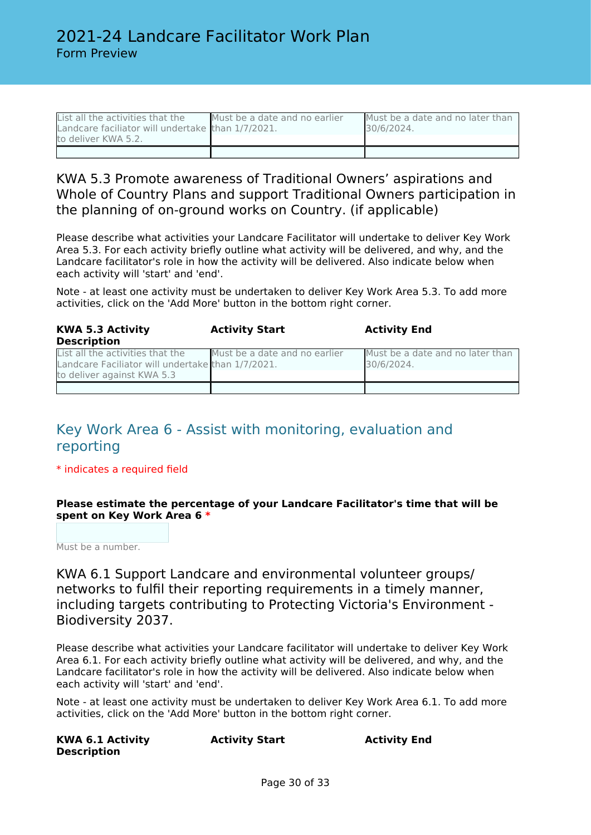| List all the activities that the                  | Must be a date and no earlier | Must be a date and no later than |
|---------------------------------------------------|-------------------------------|----------------------------------|
| Landcare faciliator will undertake than 1/7/2021. |                               | 30/6/2024.                       |
| to deliver KWA 5.2.                               |                               |                                  |
|                                                   |                               |                                  |

### KWA 5.3 Promote awareness of Traditional Owners' aspirations and Whole of Country Plans and support Traditional Owners participation in the planning of on-ground works on Country. (if applicable)

Please describe what activities your Landcare Facilitator will undertake to deliver Key Work Area 5.3. For each activity briefly outline what activity will be delivered, and why, and the Landcare facilitator's role in how the activity will be delivered. Also indicate below when each activity will 'start' and 'end'.

Note - at least one activity must be undertaken to deliver Key Work Area 5.3. To add more activities, click on the 'Add More' button in the bottom right corner.

| <b>KWA 5.3 Activity</b>                                                                                             | <b>Activity Start</b>         | <b>Activity End</b>                            |
|---------------------------------------------------------------------------------------------------------------------|-------------------------------|------------------------------------------------|
| <b>Description</b>                                                                                                  |                               |                                                |
| List all the activities that the<br>Landcare Faciliator will undertake than 1/7/2021.<br>to deliver against KWA 5.3 | Must be a date and no earlier | Must be a date and no later than<br>30/6/2024. |
|                                                                                                                     |                               |                                                |

# Key Work Area 6 - Assist with monitoring, evaluation and reporting

### \* indicates a required field

### **Please estimate the percentage of your Landcare Facilitator's time that will be spent on Key Work Area 6 \***

Must be a number.

KWA 6.1 Support Landcare and environmental volunteer groups/ networks to fulfil their reporting requirements in a timely manner, including targets contributing to Protecting Victoria's Environment - Biodiversity 2037.

Please describe what activities your Landcare facilitator will undertake to deliver Key Work Area 6.1. For each activity briefly outline what activity will be delivered, and why, and the Landcare facilitator's role in how the activity will be delivered. Also indicate below when each activity will 'start' and 'end'.

Note - at least one activity must be undertaken to deliver Key Work Area 6.1. To add more activities, click on the 'Add More' button in the bottom right corner.

| <b>KWA 6.1 Activity</b> | <b>Activity Start</b> | <b>Activity End</b> |
|-------------------------|-----------------------|---------------------|
| <b>Description</b>      |                       |                     |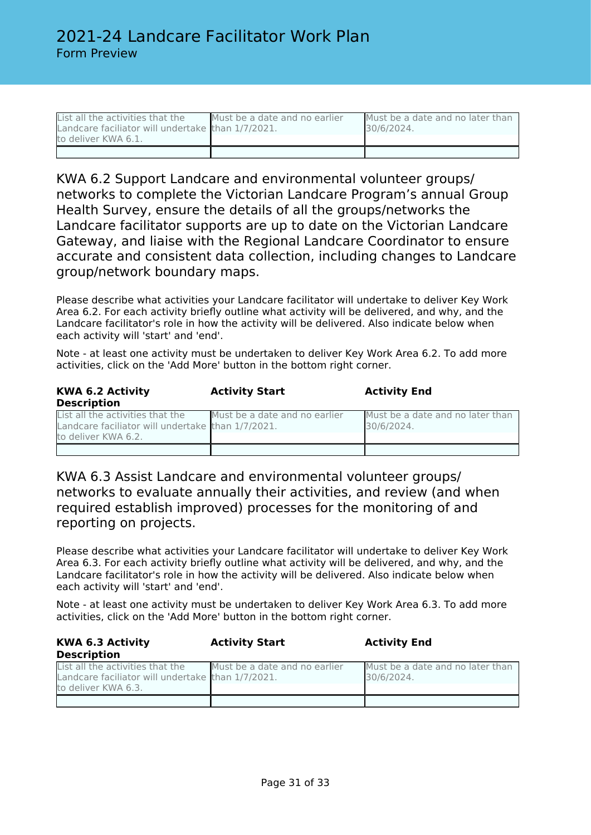| List all the activities that the                  | Must be a date and no earlier | Must be a date and no later than |
|---------------------------------------------------|-------------------------------|----------------------------------|
| Landcare faciliator will undertake than 1/7/2021. |                               | 30/6/2024.                       |
| to deliver KWA 6.1.                               |                               |                                  |
|                                                   |                               |                                  |

KWA 6.2 Support Landcare and environmental volunteer groups/ networks to complete the Victorian Landcare Program's annual Group Health Survey, ensure the details of all the groups/networks the Landcare facilitator supports are up to date on the Victorian Landcare Gateway, and liaise with the Regional Landcare Coordinator to ensure accurate and consistent data collection, including changes to Landcare group/network boundary maps.

Please describe what activities your Landcare facilitator will undertake to deliver Key Work Area 6.2. For each activity briefly outline what activity will be delivered, and why, and the Landcare facilitator's role in how the activity will be delivered. Also indicate below when each activity will 'start' and 'end'.

Note - at least one activity must be undertaken to deliver Key Work Area 6.2. To add more activities, click on the 'Add More' button in the bottom right corner.

| <b>KWA 6.2 Activity</b><br><b>Description</b>                                                                | <b>Activity Start</b>         | <b>Activity End</b>                            |
|--------------------------------------------------------------------------------------------------------------|-------------------------------|------------------------------------------------|
| List all the activities that the<br>Landcare faciliator will undertake than 1/7/2021.<br>to deliver KWA 6.2. | Must be a date and no earlier | Must be a date and no later than<br>30/6/2024. |
|                                                                                                              |                               |                                                |

KWA 6.3 Assist Landcare and environmental volunteer groups/ networks to evaluate annually their activities, and review (and when required establish improved) processes for the monitoring of and reporting on projects.

Please describe what activities your Landcare facilitator will undertake to deliver Key Work Area 6.3. For each activity briefly outline what activity will be delivered, and why, and the Landcare facilitator's role in how the activity will be delivered. Also indicate below when each activity will 'start' and 'end'.

Note - at least one activity must be undertaken to deliver Key Work Area 6.3. To add more activities, click on the 'Add More' button in the bottom right corner.

| <b>KWA 6.3 Activity</b><br><b>Description</b>                                                                | <b>Activity Start</b>         | <b>Activity End</b>                            |
|--------------------------------------------------------------------------------------------------------------|-------------------------------|------------------------------------------------|
| List all the activities that the<br>Landcare faciliator will undertake than 1/7/2021.<br>to deliver KWA 6.3. | Must be a date and no earlier | Must be a date and no later than<br>30/6/2024. |
|                                                                                                              |                               |                                                |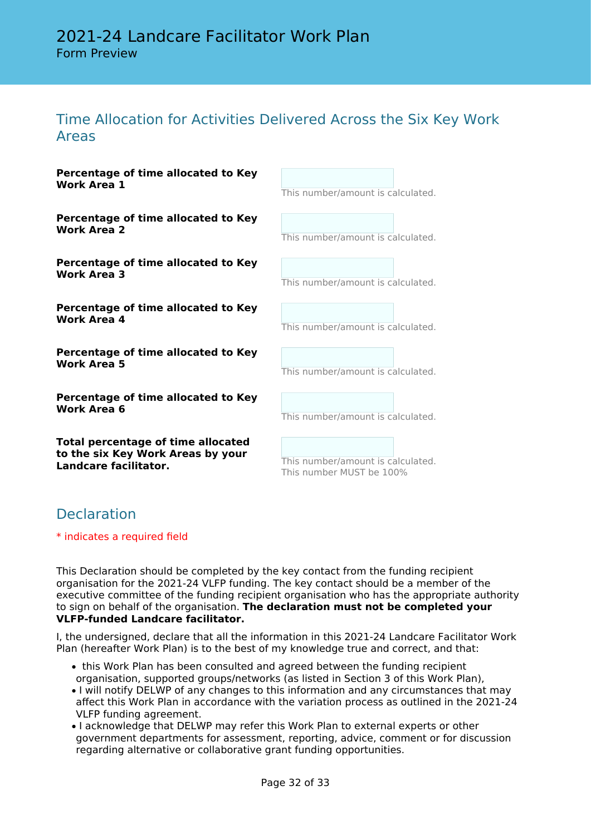# Time Allocation for Activities Delivered Across the Six Key Work Areas

| Percentage of time allocated to Key<br><b>Work Area 1</b>                                               | This number/amount is calculated.                             |
|---------------------------------------------------------------------------------------------------------|---------------------------------------------------------------|
| Percentage of time allocated to Key<br>Work Area 2                                                      | This number/amount is calculated.                             |
| Percentage of time allocated to Key<br><b>Work Area 3</b>                                               | This number/amount is calculated.                             |
| Percentage of time allocated to Key<br>Work Area 4                                                      | This number/amount is calculated.                             |
| Percentage of time allocated to Key<br>Work Area 5                                                      | This number/amount is calculated.                             |
| Percentage of time allocated to Key<br><b>Work Area 6</b>                                               | This number/amount is calculated.                             |
| <b>Total percentage of time allocated</b><br>to the six Key Work Areas by your<br>Landcare facilitator. | This number/amount is calculated.<br>This number MUST be 100% |
|                                                                                                         |                                                               |

# **Declaration**

\* indicates a required field

This Declaration should be completed by the key contact from the funding recipient organisation for the 2021-24 VLFP funding. The key contact should be a member of the executive committee of the funding recipient organisation who has the appropriate authority to sign on behalf of the organisation. **The declaration must not be completed your VLFP-funded Landcare facilitator.**

I, the undersigned, declare that all the information in this 2021-24 Landcare Facilitator Work Plan (hereafter Work Plan) is to the best of my knowledge true and correct, and that:

- this Work Plan has been consulted and agreed between the funding recipient organisation, supported groups/networks (as listed in Section 3 of this Work Plan),
- I will notify DELWP of any changes to this information and any circumstances that may affect this Work Plan in accordance with the variation process as outlined in the 2021-24 VLFP funding agreement.
- I acknowledge that DELWP may refer this Work Plan to external experts or other government departments for assessment, reporting, advice, comment or for discussion regarding alternative or collaborative grant funding opportunities.